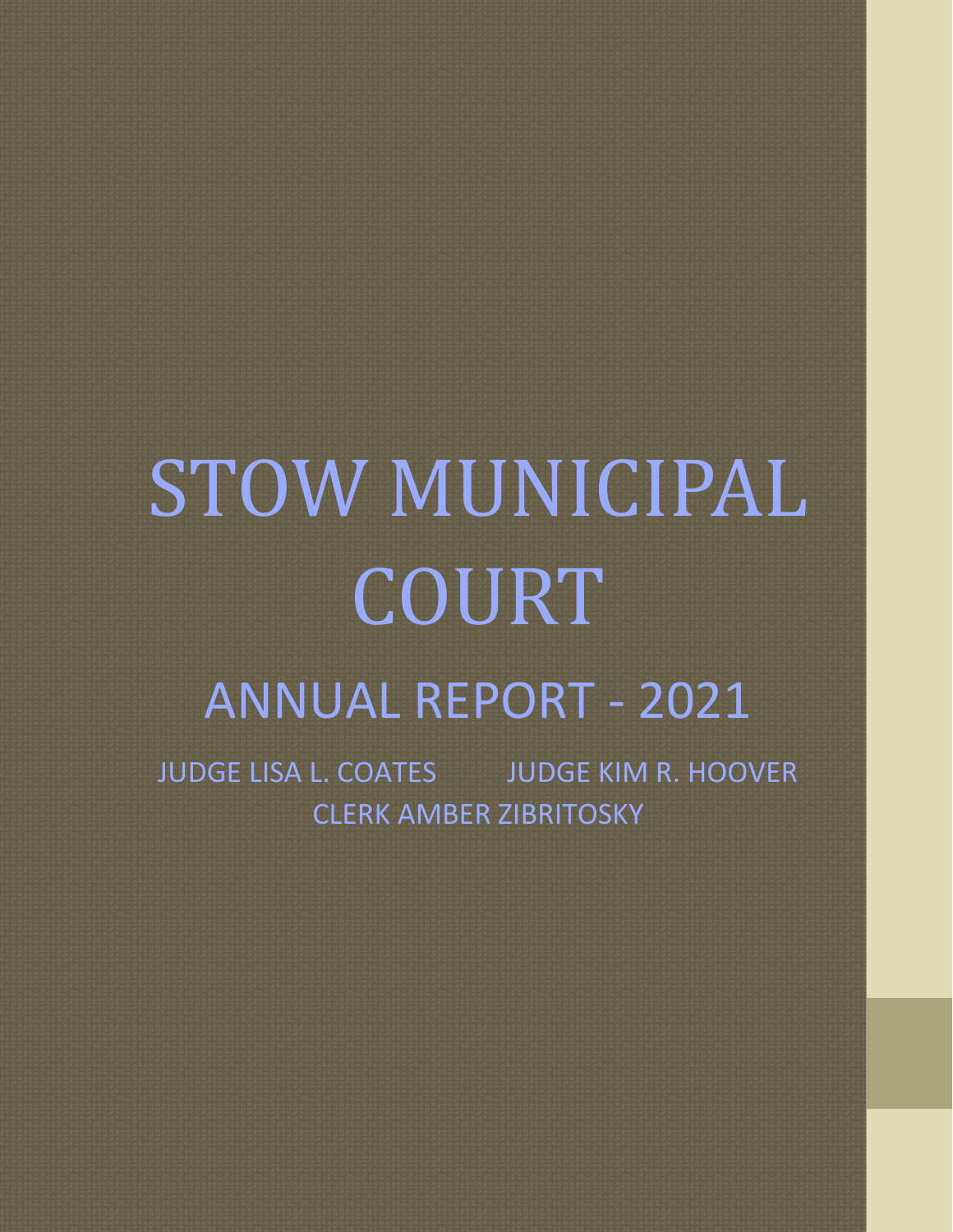# STOW MUNICIPAL COURT ANNUAL REPORT - 2021

JUDGE LISA L. COATES JUDGE KIM R. HOOVER CLERK AMBER ZIBRITOSKY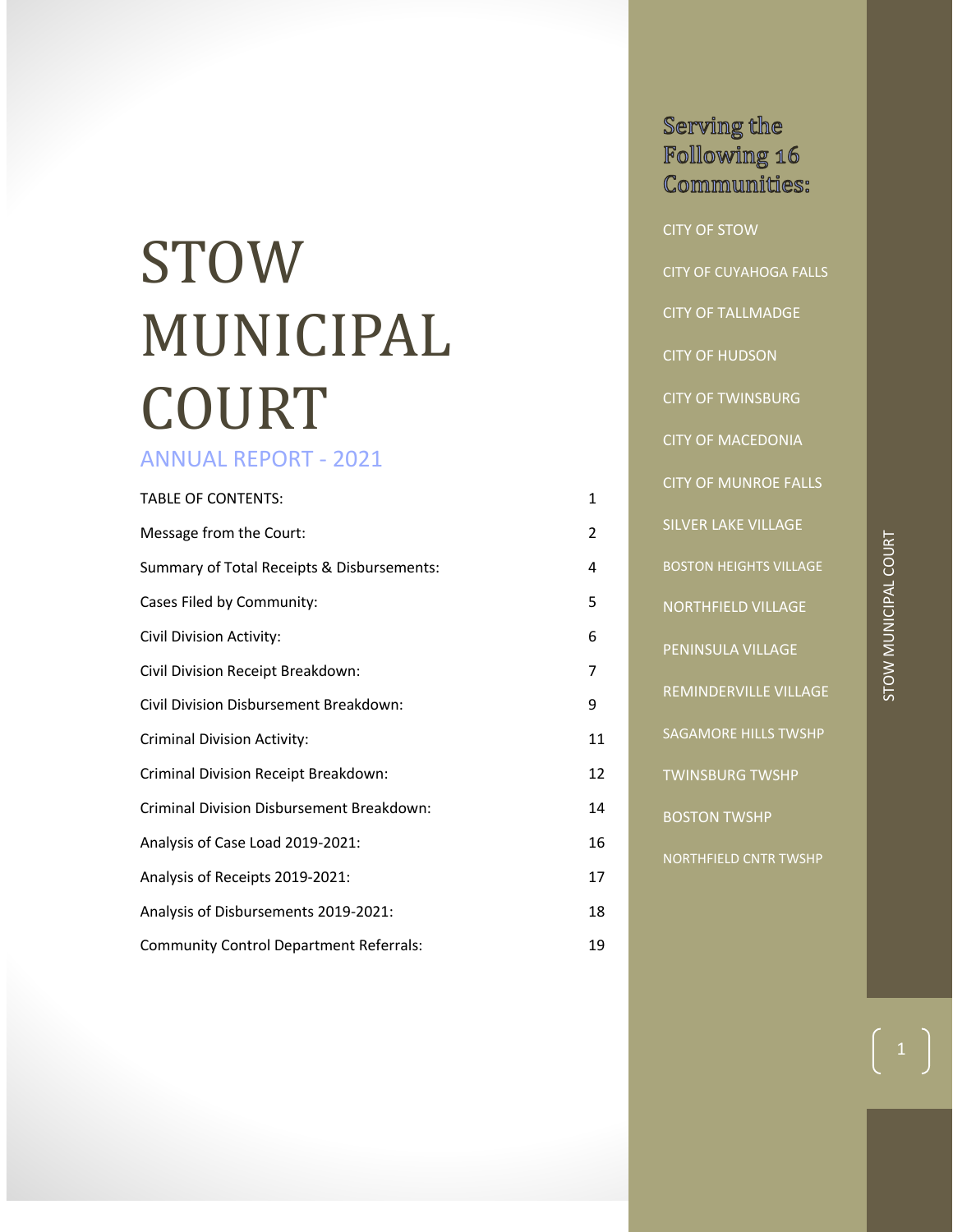## STOW MUNICIPAL COURT

## ANNUAL REPORT - 2021

| <b>TABLE OF CONTENTS:</b>                      | 1  |
|------------------------------------------------|----|
| Message from the Court:                        | 2  |
| Summary of Total Receipts & Disbursements:     | 4  |
| Cases Filed by Community:                      | 5  |
| Civil Division Activity:                       | 6  |
| Civil Division Receipt Breakdown:              | 7  |
| Civil Division Disbursement Breakdown:         | 9  |
| <b>Criminal Division Activity:</b>             | 11 |
| Criminal Division Receipt Breakdown:           | 12 |
| Criminal Division Disbursement Breakdown:      | 14 |
| Analysis of Case Load 2019-2021:               | 16 |
| Analysis of Receipts 2019-2021:                | 17 |
| Analysis of Disbursements 2019-2021:           | 18 |
| <b>Community Control Department Referrals:</b> | 19 |

| Serving the                   |
|-------------------------------|
| Following 16                  |
| Communities:                  |
|                               |
| <b>CITY OF STOW</b>           |
| <b>CITY OF CUYAHOGA FALLS</b> |
| <b>CITY OF TALLMADGE</b>      |
| <b>CITY OF HUDSON</b>         |
| <b>CITY OF TWINSBURG</b>      |
| <b>CITY OF MACEDONIA</b>      |
| <b>CITY OF MUNROE FALLS</b>   |
| <b>SILVER LAKE VILLAGE</b>    |
| <b>BOSTON HEIGHTS VILLAGE</b> |
| <b>NORTHFIELD VILLAGE</b>     |
| PENINSULA VILLAGE             |
| REMINDERVILLE VILLAGE         |
| <b>SAGAMORE HILLS TWSHP</b>   |
| <b>TWINSBURG TWSHP</b>        |
| <b>BOSTON TWSHP</b>           |
| <b>NORTHFIELD CNTR TWSHP</b>  |
|                               |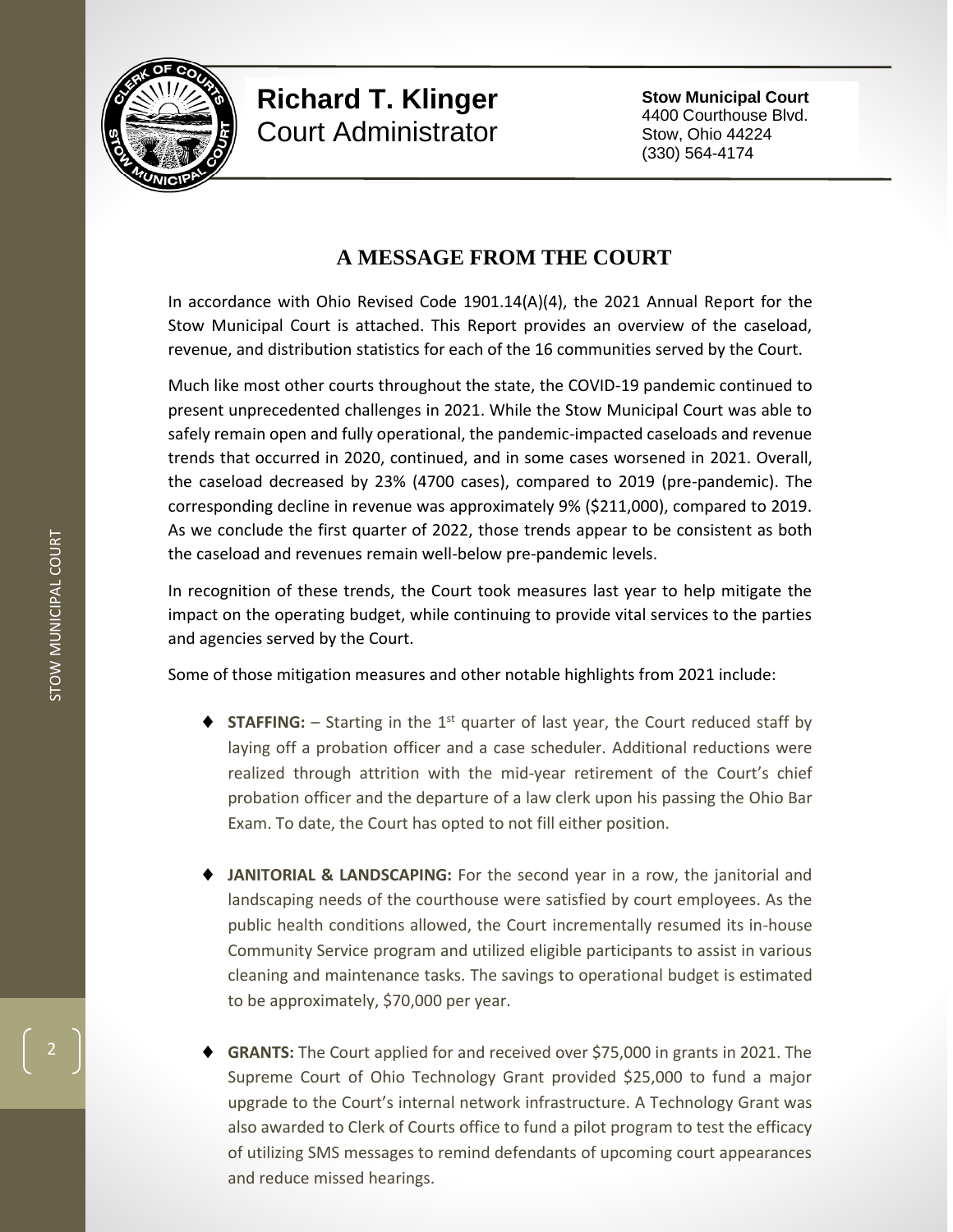

## **Richard T. Klinger** Court Administrator

**Stow Municipal Court** 4400 Courthouse Blvd. Stow, Ohio 44224 (330) 564-4174

## **A MESSAGE FROM THE COURT**

In accordance with Ohio Revised Code 1901.14(A)(4), the 2021 Annual Report for the Stow Municipal Court is attached. This Report provides an overview of the caseload, revenue, and distribution statistics for each of the 16 communities served by the Court.

Much like most other courts throughout the state, the COVID-19 pandemic continued to present unprecedented challenges in 2021. While the Stow Municipal Court was able to safely remain open and fully operational, the pandemic-impacted caseloads and revenue trends that occurred in 2020, continued, and in some cases worsened in 2021. Overall, the caseload decreased by 23% (4700 cases), compared to 2019 (pre-pandemic). The corresponding decline in revenue was approximately 9% (\$211,000), compared to 2019. As we conclude the first quarter of 2022, those trends appear to be consistent as both the caseload and revenues remain well-below pre-pandemic levels.

In recognition of these trends, the Court took measures last year to help mitigate the impact on the operating budget, while continuing to provide vital services to the parties and agencies served by the Court.

Some of those mitigation measures and other notable highlights from 2021 include:

- **STAFFING:**  $-$  Starting in the 1<sup>st</sup> quarter of last year, the Court reduced staff by laying off a probation officer and a case scheduler. Additional reductions were realized through attrition with the mid-year retirement of the Court's chief probation officer and the departure of a law clerk upon his passing the Ohio Bar Exam. To date, the Court has opted to not fill either position.
- **JANITORIAL & LANDSCAPING:** For the second year in a row, the janitorial and landscaping needs of the courthouse were satisfied by court employees. As the public health conditions allowed, the Court incrementally resumed its in-house Community Service program and utilized eligible participants to assist in various cleaning and maintenance tasks. The savings to operational budget is estimated to be approximately, \$70,000 per year.
- **GRANTS:** The Court applied for and received over \$75,000 in grants in 2021. The Supreme Court of Ohio Technology Grant provided \$25,000 to fund a major upgrade to the Court's internal network infrastructure. A Technology Grant was also awarded to Clerk of Courts office to fund a pilot program to test the efficacy of utilizing SMS messages to remind defendants of upcoming court appearances and reduce missed hearings.

2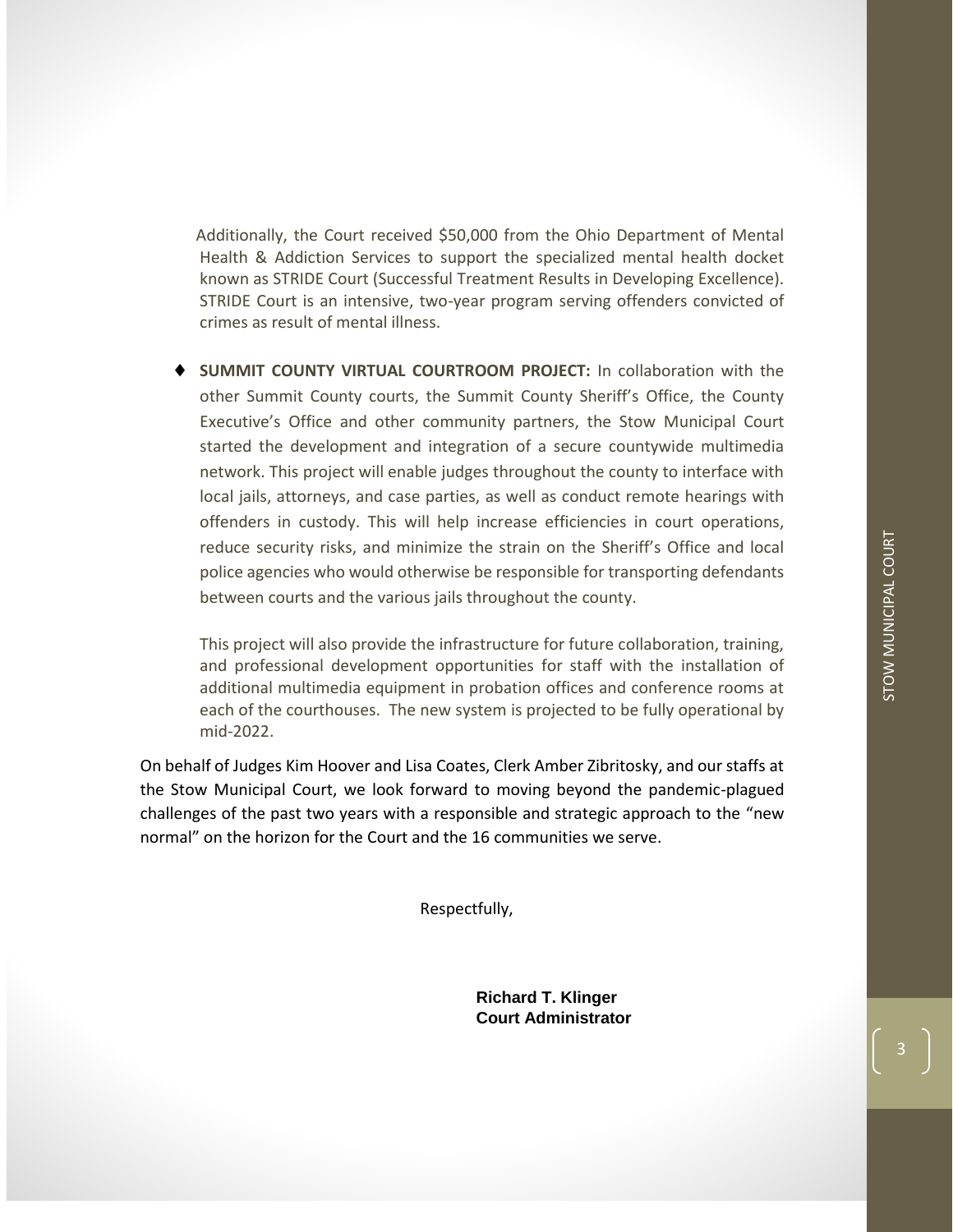Additionally, the Court received \$50,000 from the Ohio Department of Mental Health & Addiction Services to support the specialized mental health docket known as STRIDE Court (Successful Treatment Results in Developing Excellence). STRIDE Court is an intensive, two-year program serving offenders convicted of crimes as result of mental illness.

 **SUMMIT COUNTY VIRTUAL COURTROOM PROJECT:** In collaboration with the other Summit County courts, the Summit County Sheriff's Office, the County Executive's Office and other community partners, the Stow Municipal Court started the development and integration of a secure countywide multimedia network. This project will enable judges throughout the county to interface with local jails, attorneys, and case parties, as well as conduct remote hearings with offenders in custody. This will help increase efficiencies in court operations, reduce security risks, and minimize the strain on the Sheriff's Office and local police agencies who would otherwise be responsible for transporting defendants between courts and the various jails throughout the county.

This project will also provide the infrastructure for future collaboration, training, and professional development opportunities for staff with the installation of additional multimedia equipment in probation offices and conference rooms at each of the courthouses. The new system is projected to be fully operational by mid-2022.

On behalf of Judges Kim Hoover and Lisa Coates, Clerk Amber Zibritosky, and our staffs at the Stow Municipal Court, we look forward to moving beyond the pandemic-plagued challenges of the past two years with a responsible and strategic approach to the "new normal" on the horizon for the Court and the 16 communities we serve.

Respectfully,

**Richard T. Klinger Court Administrator**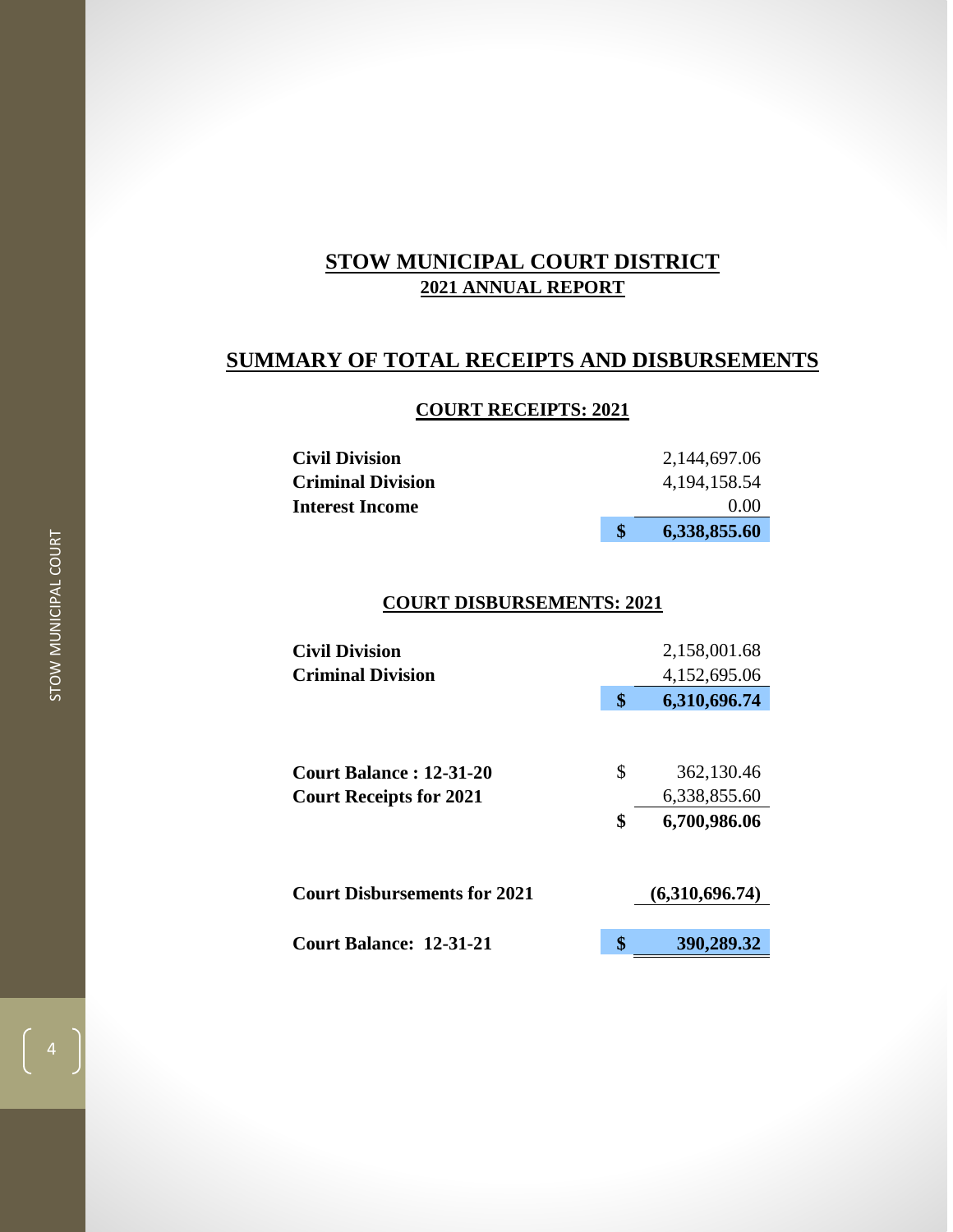## **SUMMARY OF TOTAL RECEIPTS AND DISBURSEMENTS**

## **COURT RECEIPTS: 2021**

| <b>Civil Division</b>    | 2,144,697.06    |      |
|--------------------------|-----------------|------|
| <b>Criminal Division</b> | 4, 194, 158. 54 |      |
| <b>Interest Income</b>   |                 | 0.00 |
|                          | 6,338,855.60    |      |

## **COURT DISBURSEMENTS: 2021**

| <b>Civil Division</b>               | 2,158,001.68       |
|-------------------------------------|--------------------|
| <b>Criminal Division</b>            | 4,152,695.06       |
|                                     | \$<br>6,310,696.74 |
|                                     |                    |
| <b>Court Balance: 12-31-20</b>      | \$<br>362,130.46   |
| <b>Court Receipts for 2021</b>      | 6,338,855.60       |
|                                     | \$<br>6,700,986.06 |
| <b>Court Disbursements for 2021</b> | (6,310,696.74)     |
| Court Balance: 12-31-21             | \$<br>390,289.32   |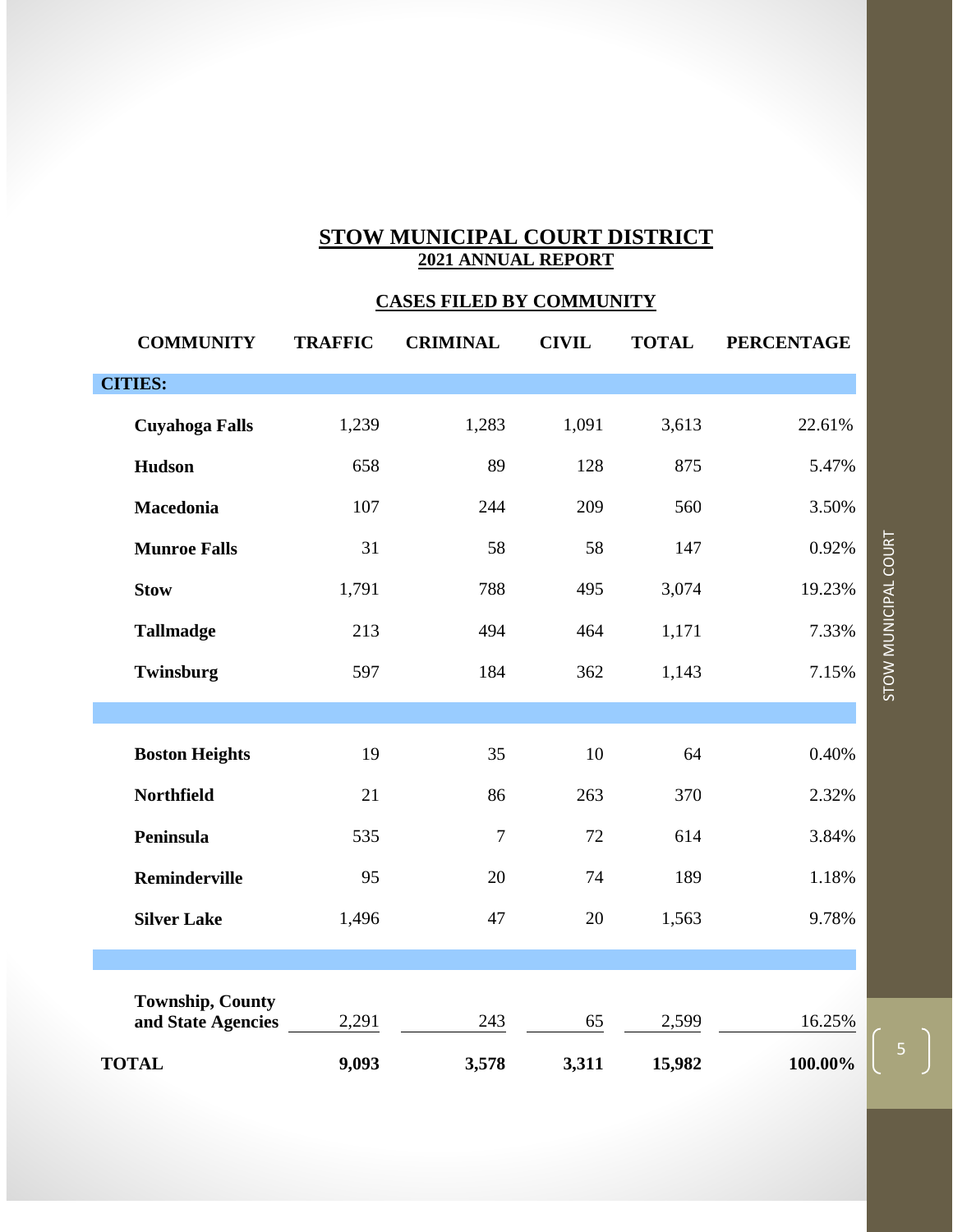## **CASES FILED BY COMMUNITY**

| <b>COMMUNITY</b>                              | <b>TRAFFIC</b> | <b>CRIMINAL</b> | <b>CIVIL</b> | <b>TOTAL</b> | <b>PERCENTAGE</b> |
|-----------------------------------------------|----------------|-----------------|--------------|--------------|-------------------|
| <b>CITIES:</b>                                |                |                 |              |              |                   |
| <b>Cuyahoga Falls</b>                         | 1,239          | 1,283           | 1,091        | 3,613        | 22.61%            |
| Hudson                                        | 658            | 89              | 128          | 875          | 5.47%             |
| Macedonia                                     | 107            | 244             | 209          | 560          | 3.50%             |
| <b>Munroe Falls</b>                           | 31             | 58              | 58           | 147          | 0.92%             |
| <b>Stow</b>                                   | 1,791          | 788             | 495          | 3,074        | 19.23%            |
| <b>Tallmadge</b>                              | 213            | 494             | 464          | 1,171        | 7.33%             |
| Twinsburg                                     | 597            | 184             | 362          | 1,143        | 7.15%             |
|                                               |                |                 |              |              |                   |
| <b>Boston Heights</b>                         | 19             | 35              | 10           | 64           | 0.40%             |
| <b>Northfield</b>                             | 21             | 86              | 263          | 370          | 2.32%             |
| Peninsula                                     | 535            | $\overline{7}$  | 72           | 614          | 3.84%             |
| <b>Reminderville</b>                          | 95             | 20              | 74           | 189          | 1.18%             |
| <b>Silver Lake</b>                            | 1,496          | 47              | 20           | 1,563        | 9.78%             |
|                                               |                |                 |              |              |                   |
| <b>Township, County</b><br>and State Agencies | 2,291          | 243             | 65           | 2,599        | 16.25%            |
| <b>TOTAL</b>                                  | 9,093          | 3,578           | 3,311        | 15,982       | 100.00%           |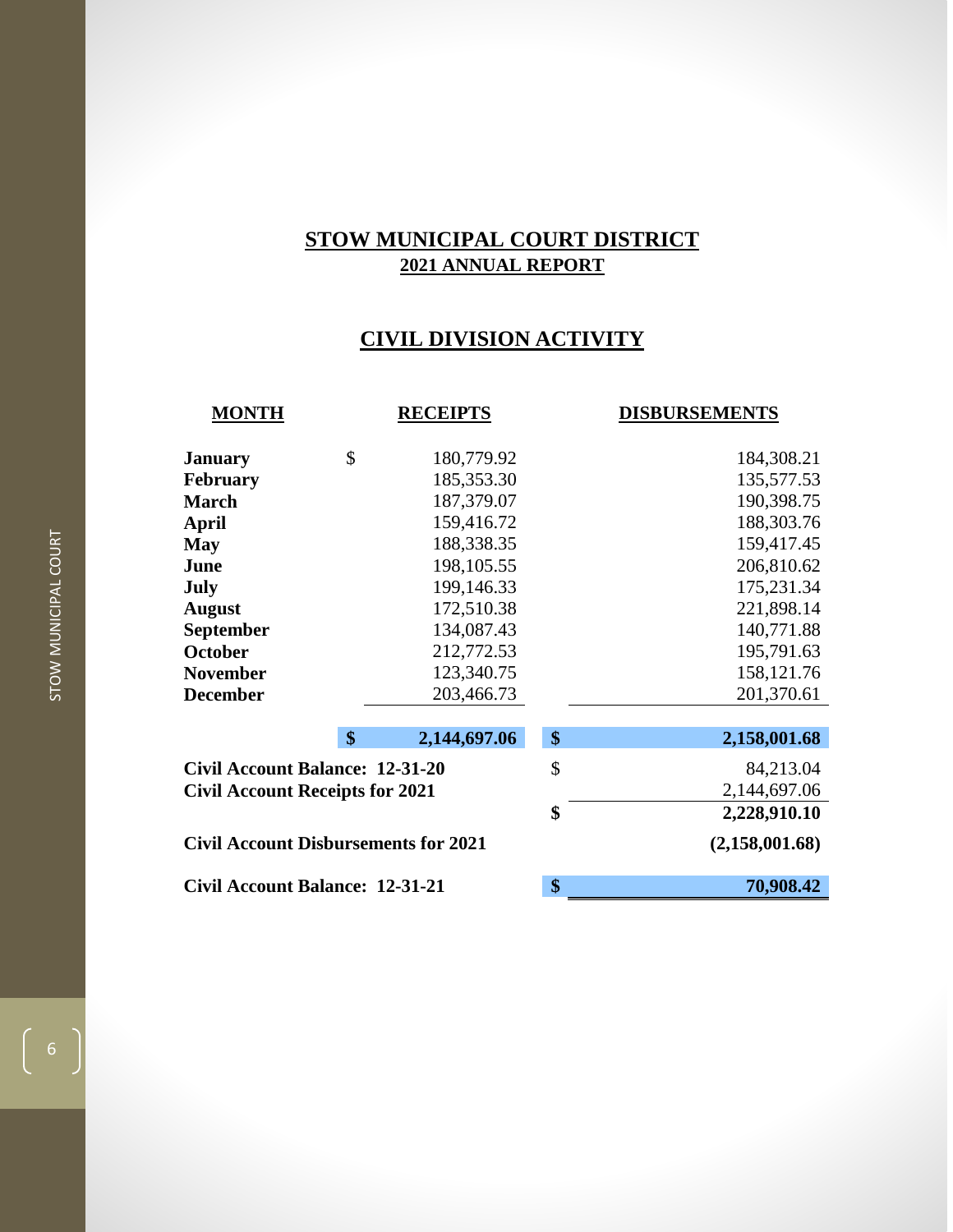## **CIVIL DIVISION ACTIVITY**

| <b>MONTH</b>                                |               | <b>RECEIPTS</b> | <b>DISBURSEMENTS</b> |
|---------------------------------------------|---------------|-----------------|----------------------|
| <b>January</b>                              | \$            | 180,779.92      | 184,308.21           |
| <b>February</b>                             |               | 185,353.30      | 135,577.53           |
| <b>March</b>                                |               | 187,379.07      | 190,398.75           |
| April                                       |               | 159,416.72      | 188,303.76           |
| <b>May</b>                                  |               | 188,338.35      | 159,417.45           |
| June                                        |               | 198,105.55      | 206,810.62           |
| July                                        |               | 199,146.33      | 175,231.34           |
| <b>August</b>                               |               | 172,510.38      | 221,898.14           |
| <b>September</b>                            |               | 134,087.43      | 140,771.88           |
| <b>October</b>                              |               | 212,772.53      | 195,791.63           |
| <b>November</b>                             |               | 123,340.75      | 158, 121.76          |
| <b>December</b>                             |               | 203,466.73      | 201,370.61           |
|                                             |               |                 |                      |
|                                             | $\mathbf{\$}$ | 2,144,697.06    | \$<br>2,158,001.68   |
| <b>Civil Account Balance: 12-31-20</b>      |               |                 | \$<br>84,213.04      |
| <b>Civil Account Receipts for 2021</b>      |               |                 | 2,144,697.06         |
|                                             |               |                 | \$<br>2,228,910.10   |
| <b>Civil Account Disbursements for 2021</b> |               |                 | (2,158,001.68)       |
| <b>Civil Account Balance: 12-31-21</b>      |               |                 | \$<br>70,908.42      |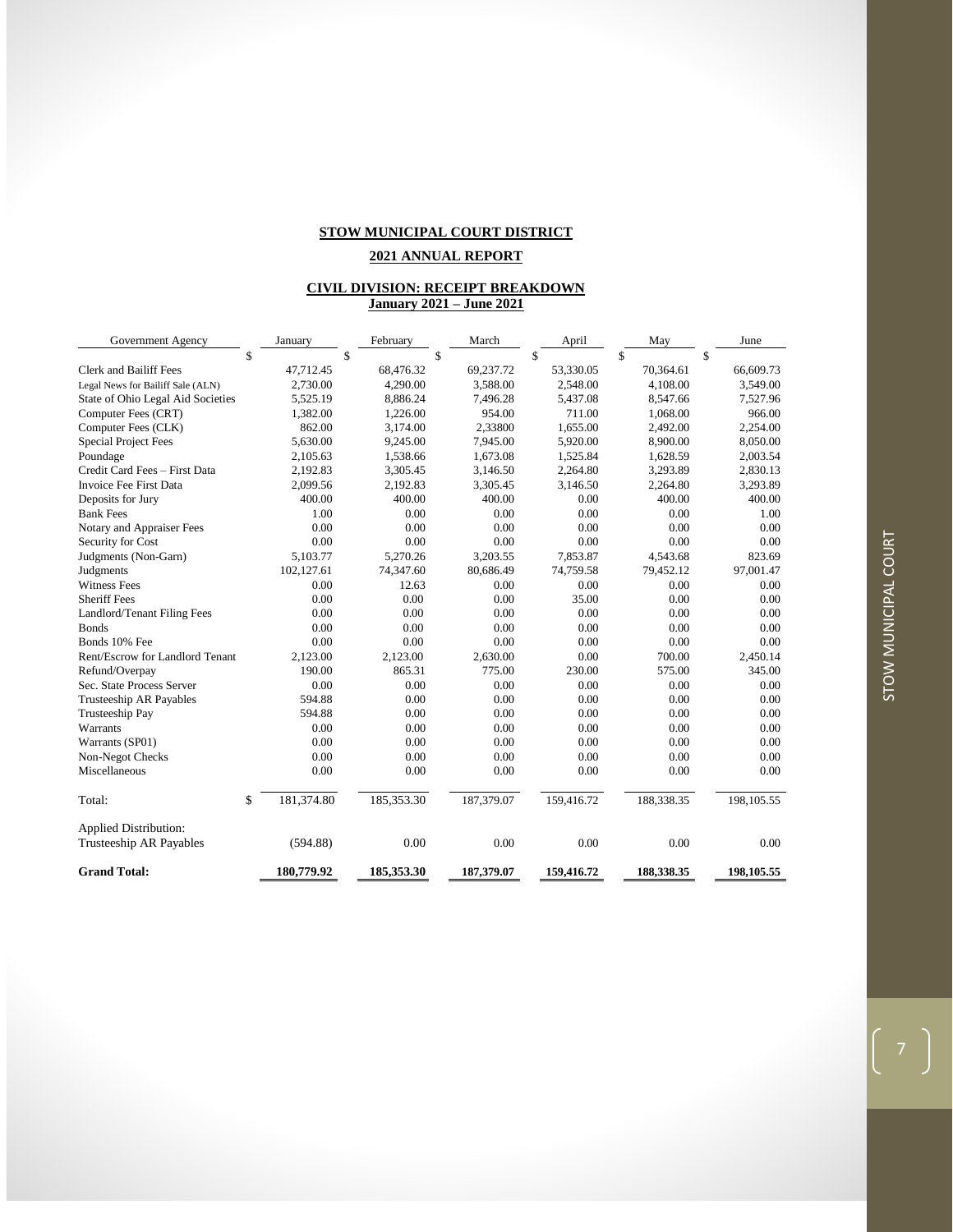#### **2021 ANNUAL REPORT**

#### **CIVIL DIVISION: RECEIPT BREAKDOWN January 2021 – June 2021**

| Government Agency                 | January          | February   | March      | April      | May        | June        |
|-----------------------------------|------------------|------------|------------|------------|------------|-------------|
|                                   | \$               | \$         | \$         | \$         | \$         | \$          |
| <b>Clerk and Bailiff Fees</b>     | 47,712.45        | 68,476.32  | 69,237.72  | 53,330.05  | 70,364.61  | 66,609.73   |
| Legal News for Bailiff Sale (ALN) | 2,730.00         | 4,290.00   | 3,588.00   | 2,548.00   | 4,108.00   | 3,549.00    |
| State of Ohio Legal Aid Societies | 5,525.19         | 8,886.24   | 7,496.28   | 5,437.08   | 8,547.66   | 7,527.96    |
| Computer Fees (CRT)               | 1,382.00         | 1,226.00   | 954.00     | 711.00     | 1,068.00   | 966.00      |
| Computer Fees (CLK)               | 862.00           | 3,174.00   | 2,33800    | 1,655.00   | 2,492.00   | 2,254.00    |
| <b>Special Project Fees</b>       | 5,630.00         | 9,245.00   | 7,945.00   | 5,920.00   | 8,900.00   | 8,050.00    |
| Poundage                          | 2,105.63         | 1,538.66   | 1,673.08   | 1,525.84   | 1,628.59   | 2,003.54    |
| Credit Card Fees - First Data     | 2,192.83         | 3,305.45   | 3,146.50   | 2,264.80   | 3,293.89   | 2,830.13    |
| Invoice Fee First Data            | 2,099.56         | 2,192.83   | 3,305.45   | 3,146.50   | 2,264.80   | 3,293.89    |
| Deposits for Jury                 | 400.00           | 400.00     | 400.00     | 0.00       | 400.00     | 400.00      |
| <b>Bank Fees</b>                  | 1.00             | 0.00       | 0.00       | 0.00       | 0.00       | 1.00        |
| Notary and Appraiser Fees         | 0.00             | 0.00       | 0.00       | 0.00       | 0.00       | 0.00        |
| Security for Cost                 | 0.00             | 0.00       | 0.00       | 0.00       | 0.00       | 0.00        |
| Judgments (Non-Garn)              | 5.103.77         | 5.270.26   | 3.203.55   | 7.853.87   | 4.543.68   | 823.69      |
| Judgments                         | 102,127.61       | 74,347.60  | 80,686.49  | 74,759.58  | 79,452.12  | 97,001.47   |
| <b>Witness Fees</b>               | 0.00             | 12.63      | 0.00       | 0.00       | 0.00       | 0.00        |
| <b>Sheriff Fees</b>               | 0.00             | 0.00       | 0.00       | 35.00      | 0.00       | 0.00        |
| Landlord/Tenant Filing Fees       | 0.00             | 0.00       | 0.00       | 0.00       | 0.00       | 0.00        |
| <b>Bonds</b>                      | 0.00             | 0.00       | 0.00       | 0.00       | 0.00       | 0.00        |
| Bonds 10% Fee                     | 0.00             | 0.00       | 0.00       | 0.00       | 0.00       | 0.00        |
| Rent/Escrow for Landlord Tenant   | 2,123.00         | 2,123.00   | 2,630.00   | 0.00       | 700.00     | 2,450.14    |
| Refund/Overpay                    | 190.00           | 865.31     | 775.00     | 230.00     | 575.00     | 345.00      |
| Sec. State Process Server         | 0.00             | 0.00       | 0.00       | 0.00       | 0.00       | 0.00        |
| Trusteeship AR Payables           | 594.88           | 0.00       | 0.00       | 0.00       | 0.00       | 0.00        |
| Trusteeship Pay                   | 594.88           | 0.00       | 0.00       | 0.00       | 0.00       | 0.00        |
| Warrants                          | 0.00             | 0.00       | 0.00       | 0.00       | 0.00       | 0.00        |
| Warrants (SP01)                   | 0.00             | 0.00       | 0.00       | 0.00       | 0.00       | 0.00        |
| Non-Negot Checks                  | 0.00             | 0.00       | 0.00       | 0.00       | 0.00       | 0.00        |
| Miscellaneous                     | 0.00             | 0.00       | 0.00       | 0.00       | 0.00       | 0.00        |
| Total:                            | \$<br>181,374.80 | 185,353.30 | 187,379.07 | 159,416.72 | 188,338.35 | 198, 105.55 |
| <b>Applied Distribution:</b>      |                  |            |            |            |            |             |
| <b>Trusteeship AR Payables</b>    | (594.88)         | 0.00       | 0.00       | 0.00       | 0.00       | 0.00        |
| <b>Grand Total:</b>               | 180,779.92       | 185,353.30 | 187,379.07 | 159,416.72 | 188,338.35 | 198,105.55  |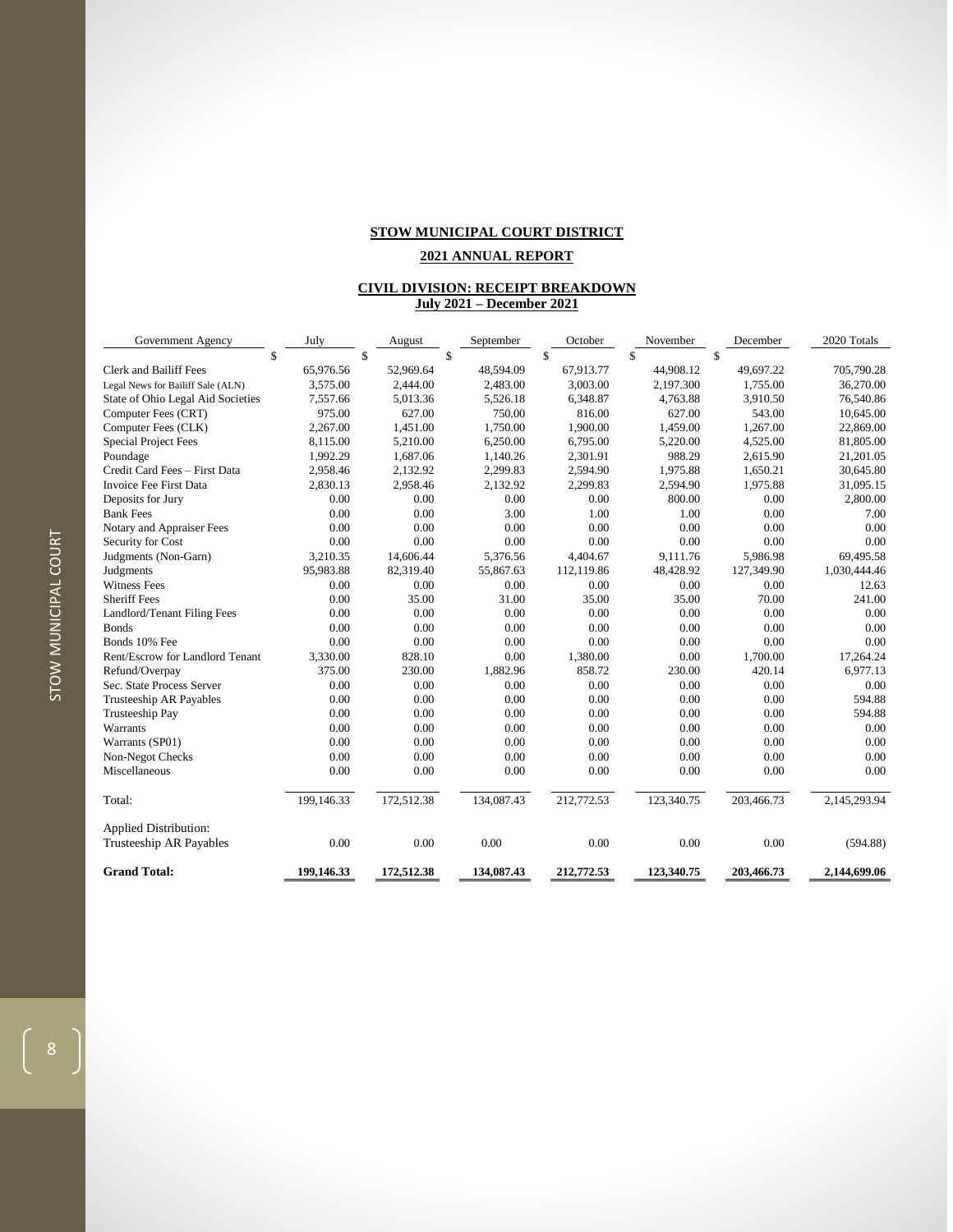#### **2021 ANNUAL REPORT**

#### **CIVIL DIVISION: RECEIPT BREAKDOWN July 2021 – December 2021**

| Government Agency                                       | July       | August     | September  | October    | November   | December   | 2020 Totals  |
|---------------------------------------------------------|------------|------------|------------|------------|------------|------------|--------------|
| \$                                                      |            | \$         | \$         | \$         | \$         | \$         |              |
| <b>Clerk and Bailiff Fees</b>                           | 65.976.56  | 52,969.64  | 48.594.09  | 67.913.77  | 44.908.12  | 49.697.22  | 705,790.28   |
| Legal News for Bailiff Sale (ALN)                       | 3,575.00   | 2,444.00   | 2,483.00   | 3,003.00   | 2,197.300  | 1,755.00   | 36,270.00    |
| State of Ohio Legal Aid Societies                       | 7,557.66   | 5,013.36   | 5.526.18   | 6.348.87   | 4.763.88   | 3.910.50   | 76,540.86    |
| Computer Fees (CRT)                                     | 975.00     | 627.00     | 750.00     | 816.00     | 627.00     | 543.00     | 10,645.00    |
| Computer Fees (CLK)                                     | 2.267.00   | 1,451.00   | 1.750.00   | 1.900.00   | 1,459.00   | 1.267.00   | 22,869.00    |
| <b>Special Project Fees</b>                             | 8,115.00   | 5,210.00   | 6,250.00   | 6,795.00   | 5,220.00   | 4,525.00   | 81,805.00    |
| Poundage                                                | 1,992.29   | 1,687.06   | 1,140.26   | 2,301.91   | 988.29     | 2,615.90   | 21,201.05    |
| Credit Card Fees - First Data                           | 2,958.46   | 2,132.92   | 2,299.83   | 2,594.90   | 1,975.88   | 1,650.21   | 30,645.80    |
| Invoice Fee First Data                                  | 2,830.13   | 2,958.46   | 2,132.92   | 2,299.83   | 2,594.90   | 1,975.88   | 31,095.15    |
| Deposits for Jury                                       | 0.00       | 0.00       | 0.00       | 0.00       | 800.00     | 0.00       | 2,800.00     |
| <b>Bank Fees</b>                                        | 0.00       | 0.00       | 3.00       | 1.00       | 1.00       | 0.00       | 7.00         |
| Notary and Appraiser Fees                               | 0.00       | 0.00       | 0.00       | 0.00       | 0.00       | 0.00       | 0.00         |
| Security for Cost                                       | 0.00       | 0.00       | 0.00       | 0.00       | 0.00       | 0.00       | 0.00         |
| Judgments (Non-Garn)                                    | 3,210.35   | 14,606.44  | 5,376.56   | 4,404.67   | 9,111.76   | 5,986.98   | 69,495.58    |
| Judgments                                               | 95,983.88  | 82,319.40  | 55,867.63  | 112,119.86 | 48,428.92  | 127,349.90 | 1,030,444.46 |
| <b>Witness Fees</b>                                     | 0.00       | 0.00       | 0.00       | 0.00       | 0.00       | 0.00       | 12.63        |
| <b>Sheriff Fees</b>                                     | 0.00       | 35.00      | 31.00      | 35.00      | 35.00      | 70.00      | 241.00       |
| Landlord/Tenant Filing Fees                             | 0.00       | 0.00       | 0.00       | 0.00       | 0.00       | 0.00       | 0.00         |
| <b>Bonds</b>                                            | 0.00       | 0.00       | 0.00       | 0.00       | 0.00       | 0.00       | 0.00         |
| Bonds 10% Fee                                           | 0.00       | 0.00       | 0.00       | 0.00       | 0.00       | 0.00       | 0.00         |
| Rent/Escrow for Landlord Tenant                         | 3,330.00   | 828.10     | 0.00       | 1,380.00   | 0.00       | 1,700.00   | 17,264.24    |
| Refund/Overpay                                          | 375.00     | 230.00     | 1,882.96   | 858.72     | 230.00     | 420.14     | 6,977.13     |
| Sec. State Process Server                               | 0.00       | 0.00       | 0.00       | 0.00       | 0.00       | 0.00       | 0.00         |
| Trusteeship AR Payables                                 | 0.00       | 0.00       | 0.00       | 0.00       | 0.00       | 0.00       | 594.88       |
| Trusteeship Pay                                         | 0.00       | 0.00       | 0.00       | 0.00       | 0.00       | 0.00       | 594.88       |
| Warrants                                                | 0.00       | 0.00       | 0.00       | 0.00       | 0.00       | 0.00       | 0.00         |
| Warrants (SP01)                                         | 0.00       | 0.00       | 0.00       | 0.00       | 0.00       | 0.00       | 0.00         |
| Non-Negot Checks                                        | 0.00       | 0.00       | 0.00       | 0.00       | 0.00       | 0.00       | 0.00         |
| Miscellaneous                                           | 0.00       | 0.00       | 0.00       | 0.00       | 0.00       | 0.00       | 0.00         |
| Total:                                                  | 199,146.33 | 172,512.38 | 134,087.43 | 212,772.53 | 123,340.75 | 203,466.73 | 2,145,293.94 |
| <b>Applied Distribution:</b><br>Trusteeship AR Payables | 0.00       | 0.00       | 0.00       | 0.00       | 0.00       | 0.00       | (594.88)     |
|                                                         |            |            |            |            |            |            |              |
| <b>Grand Total:</b>                                     | 199,146.33 | 172,512.38 | 134,087.43 | 212,772.53 | 123,340.75 | 203,466.73 | 2.144.699.06 |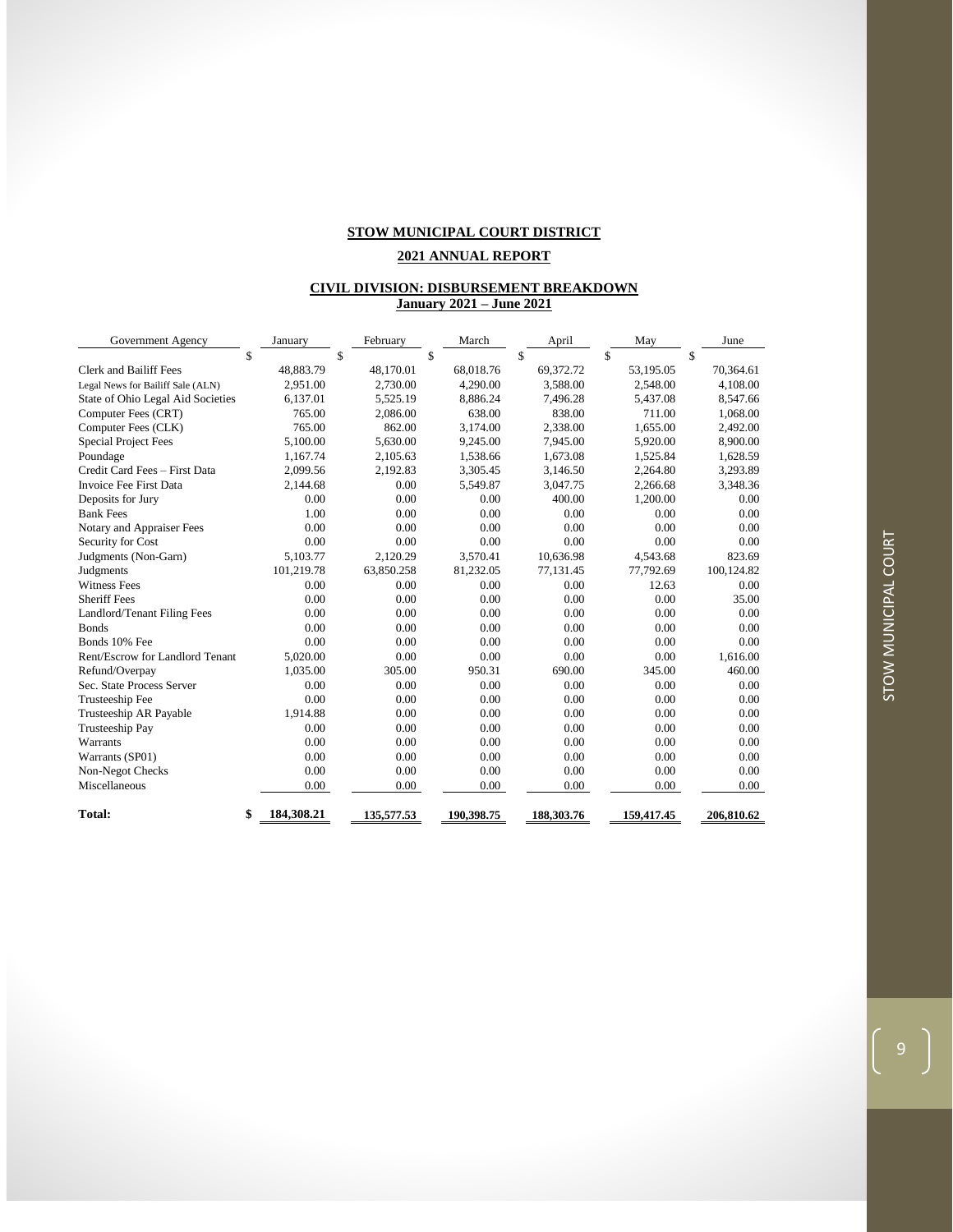#### **2021 ANNUAL REPORT**

#### **CIVIL DIVISION: DISBURSEMENT BREAKDOWN January 2021 – June 2021**

| Government Agency                 | January          | February   | March      | April      | May        | June       |
|-----------------------------------|------------------|------------|------------|------------|------------|------------|
|                                   | \$<br>\$         |            | \$         | \$         | \$         | \$         |
| Clerk and Bailiff Fees            | 48.883.79        | 48,170.01  | 68.018.76  | 69,372.72  | 53,195.05  | 70,364.61  |
| Legal News for Bailiff Sale (ALN) | 2.951.00         | 2,730.00   | 4,290.00   | 3.588.00   | 2.548.00   | 4,108.00   |
| State of Ohio Legal Aid Societies | 6,137.01         | 5,525.19   | 8,886.24   | 7,496.28   | 5,437.08   | 8,547.66   |
| Computer Fees (CRT)               | 765.00           | 2,086.00   | 638.00     | 838.00     | 711.00     | 1,068.00   |
| Computer Fees (CLK)               | 765.00           | 862.00     | 3.174.00   | 2.338.00   | 1.655.00   | 2,492.00   |
| <b>Special Project Fees</b>       | 5,100.00         | 5,630.00   | 9,245.00   | 7,945.00   | 5,920.00   | 8,900.00   |
| Poundage                          | 1.167.74         | 2,105.63   | 1,538.66   | 1.673.08   | 1,525.84   | 1,628.59   |
| Credit Card Fees - First Data     | 2.099.56         | 2.192.83   | 3.305.45   | 3.146.50   | 2.264.80   | 3,293.89   |
| Invoice Fee First Data            | 2,144.68         | 0.00       | 5,549.87   | 3,047.75   | 2,266.68   | 3,348.36   |
| Deposits for Jury                 | 0.00             | 0.00       | 0.00       | 400.00     | 1.200.00   | 0.00       |
| <b>Bank Fees</b>                  | 1.00             | 0.00       | 0.00       | 0.00       | 0.00       | 0.00       |
| Notary and Appraiser Fees         | 0.00             | 0.00       | 0.00       | 0.00       | 0.00       | 0.00       |
| Security for Cost                 | 0.00             | 0.00       | 0.00       | 0.00       | 0.00       | 0.00       |
| Judgments (Non-Garn)              | 5,103.77         | 2,120.29   | 3,570.41   | 10.636.98  | 4,543.68   | 823.69     |
| Judgments                         | 101,219.78       | 63,850.258 | 81,232.05  | 77.131.45  | 77.792.69  | 100,124.82 |
| <b>Witness Fees</b>               | 0.00             | 0.00       | 0.00       | 0.00       | 12.63      | 0.00       |
| <b>Sheriff Fees</b>               | 0.00             | 0.00       | 0.00       | 0.00       | 0.00       | 35.00      |
| Landlord/Tenant Filing Fees       | 0.00             | 0.00       | 0.00       | 0.00       | 0.00       | 0.00       |
| <b>Bonds</b>                      | 0.00             | 0.00       | 0.00       | 0.00       | 0.00       | 0.00       |
| Bonds 10% Fee                     | 0.00             | 0.00       | 0.00       | 0.00       | 0.00       | 0.00       |
| Rent/Escrow for Landlord Tenant   | 5,020.00         | 0.00       | 0.00       | 0.00       | 0.00       | 1,616.00   |
| Refund/Overpay                    | 1,035.00         | 305.00     | 950.31     | 690.00     | 345.00     | 460.00     |
| Sec. State Process Server         | 0.00             | 0.00       | 0.00       | 0.00       | 0.00       | 0.00       |
| Trusteeship Fee                   | 0.00             | 0.00       | 0.00       | 0.00       | 0.00       | 0.00       |
| Trusteeship AR Payable            | 1,914.88         | 0.00       | 0.00       | 0.00       | 0.00       | 0.00       |
| Trusteeship Pay                   | 0.00             | 0.00       | 0.00       | 0.00       | 0.00       | 0.00       |
| Warrants                          | 0.00             | 0.00       | 0.00       | 0.00       | 0.00       | 0.00       |
| Warrants (SP01)                   | 0.00             | 0.00       | 0.00       | 0.00       | 0.00       | 0.00       |
| Non-Negot Checks                  | 0.00             | 0.00       | 0.00       | 0.00       | 0.00       | 0.00       |
| Miscellaneous                     | 0.00             | 0.00       | 0.00       | 0.00       | 0.00       | 0.00       |
| <b>Total:</b>                     | \$<br>184,308.21 | 135,577.53 | 190,398.75 | 188,303.76 | 159,417.45 | 206,810.62 |

 $\left(\begin{array}{c} 9 \end{array}\right)$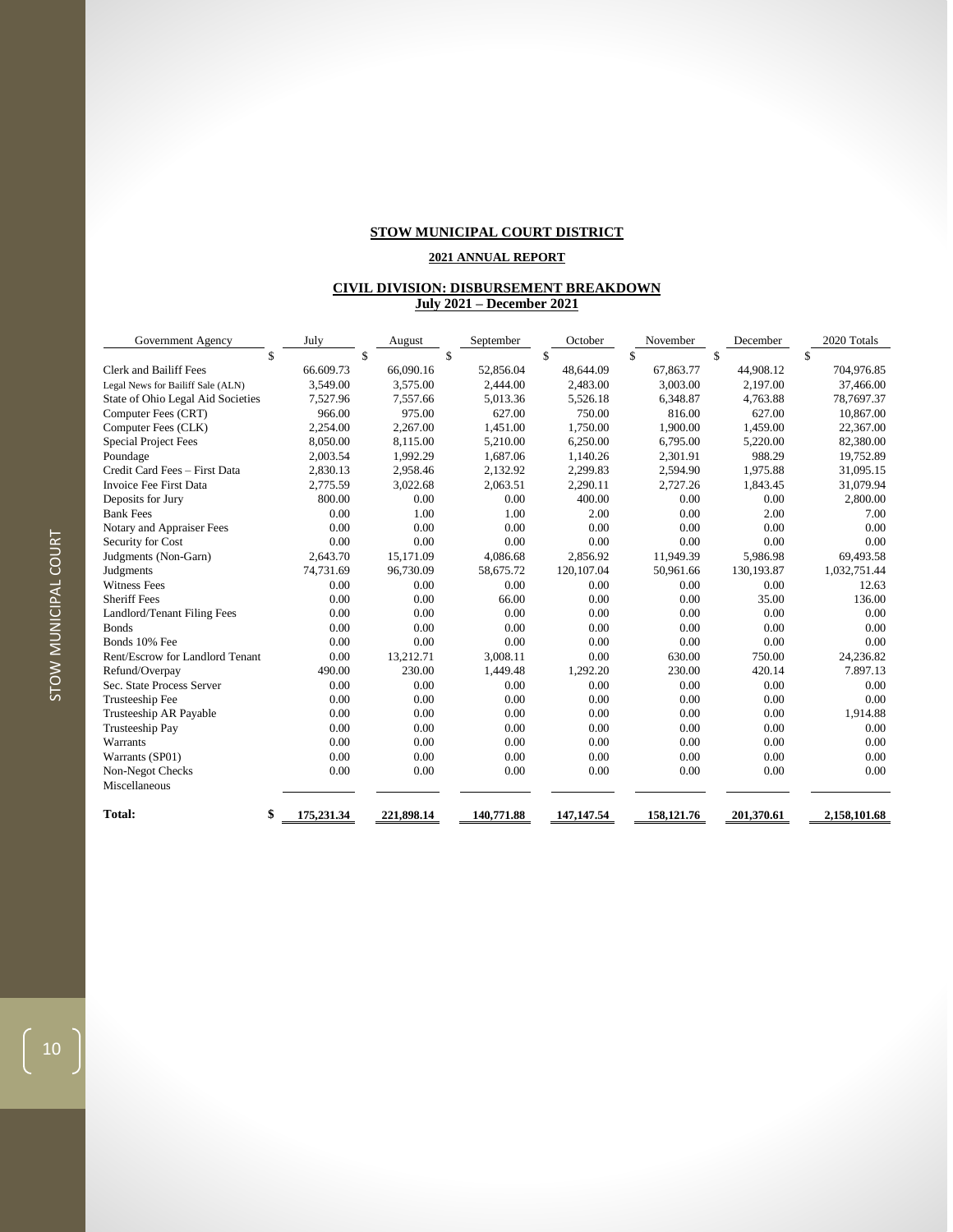## **2021 ANNUAL REPORT**

#### **CIVIL DIVISION: DISBURSEMENT BREAKDOWN July 2021 – December 2021**

| Government Agency                 | July             | August     | September  | October      | November   | December   | 2020 Totals  |
|-----------------------------------|------------------|------------|------------|--------------|------------|------------|--------------|
|                                   | \$               | \$         | \$         | \$           | \$         | \$         | \$           |
| <b>Clerk and Bailiff Fees</b>     | 66.609.73        | 66,090.16  | 52.856.04  | 48,644.09    | 67,863.77  | 44.908.12  | 704,976.85   |
| Legal News for Bailiff Sale (ALN) | 3,549.00         | 3,575.00   | 2,444.00   | 2,483.00     | 3,003.00   | 2,197.00   | 37,466.00    |
| State of Ohio Legal Aid Societies | 7,527.96         | 7,557.66   | 5,013.36   | 5,526.18     | 6,348.87   | 4,763.88   | 78,7697.37   |
| Computer Fees (CRT)               | 966.00           | 975.00     | 627.00     | 750.00       | 816.00     | 627.00     | 10,867.00    |
| Computer Fees (CLK)               | 2.254.00         | 2,267.00   | 1,451.00   | 1.750.00     | 1.900.00   | 1,459.00   | 22,367.00    |
| <b>Special Project Fees</b>       | 8,050.00         | 8,115.00   | 5,210.00   | 6,250.00     | 6,795.00   | 5,220.00   | 82,380.00    |
| Poundage                          | 2,003.54         | 1,992.29   | 1.687.06   | 1,140.26     | 2,301.91   | 988.29     | 19,752.89    |
| Credit Card Fees - First Data     | 2.830.13         | 2.958.46   | 2.132.92   | 2.299.83     | 2.594.90   | 1.975.88   | 31,095.15    |
| Invoice Fee First Data            | 2,775.59         | 3,022.68   | 2,063.51   | 2,290.11     | 2,727.26   | 1,843.45   | 31,079.94    |
| Deposits for Jury                 | 800.00           | 0.00       | 0.00       | 400.00       | 0.00       | 0.00       | 2,800.00     |
| <b>Bank Fees</b>                  | 0.00             | 1.00       | 1.00       | 2.00         | 0.00       | 2.00       | 7.00         |
| Notary and Appraiser Fees         | 0.00             | 0.00       | 0.00       | 0.00         | 0.00       | 0.00       | 0.00         |
| Security for Cost                 | 0.00             | 0.00       | 0.00       | 0.00         | 0.00       | 0.00       | 0.00         |
| Judgments (Non-Garn)              | 2.643.70         | 15.171.09  | 4.086.68   | 2.856.92     | 11.949.39  | 5,986.98   | 69.493.58    |
| Judgments                         | 74.731.69        | 96,730.09  | 58,675.72  | 120,107.04   | 50,961.66  | 130,193.87 | 1,032,751.44 |
| <b>Witness Fees</b>               | 0.00             | 0.00       | 0.00       | 0.00         | 0.00       | 0.00       | 12.63        |
| <b>Sheriff Fees</b>               | 0.00             | 0.00       | 66.00      | 0.00         | 0.00       | 35.00      | 136.00       |
| Landlord/Tenant Filing Fees       | 0.00             | 0.00       | 0.00       | 0.00         | 0.00       | 0.00       | 0.00         |
| <b>Bonds</b>                      | 0.00             | 0.00       | 0.00       | 0.00         | 0.00       | 0.00       | 0.00         |
| Bonds 10% Fee                     | 0.00             | 0.00       | 0.00       | 0.00         | 0.00       | 0.00       | 0.00         |
| Rent/Escrow for Landlord Tenant   | 0.00             | 13,212.71  | 3.008.11   | 0.00         | 630.00     | 750.00     | 24,236.82    |
| Refund/Overpay                    | 490.00           | 230.00     | 1.449.48   | 1.292.20     | 230.00     | 420.14     | 7.897.13     |
| Sec. State Process Server         | 0.00             | 0.00       | 0.00       | 0.00         | 0.00       | 0.00       | 0.00         |
| Trusteeship Fee                   | 0.00             | 0.00       | 0.00       | 0.00         | 0.00       | 0.00       | 0.00         |
| Trusteeship AR Payable            | 0.00             | 0.00       | 0.00       | 0.00         | 0.00       | 0.00       | 1,914.88     |
| Trusteeship Pay                   | 0.00             | 0.00       | 0.00       | 0.00         | 0.00       | 0.00       | 0.00         |
| Warrants                          | 0.00             | 0.00       | 0.00       | 0.00         | 0.00       | 0.00       | 0.00         |
| Warrants (SP01)                   | 0.00             | 0.00       | 0.00       | 0.00         | 0.00       | 0.00       | 0.00         |
| Non-Negot Checks                  | 0.00             | 0.00       | 0.00       | 0.00         | 0.00       | 0.00       | 0.00         |
| Miscellaneous                     |                  |            |            |              |            |            |              |
| Total:                            | \$<br>175,231.34 | 221,898.14 | 140,771.88 | 147, 147. 54 | 158,121.76 | 201,370.61 | 2,158,101.68 |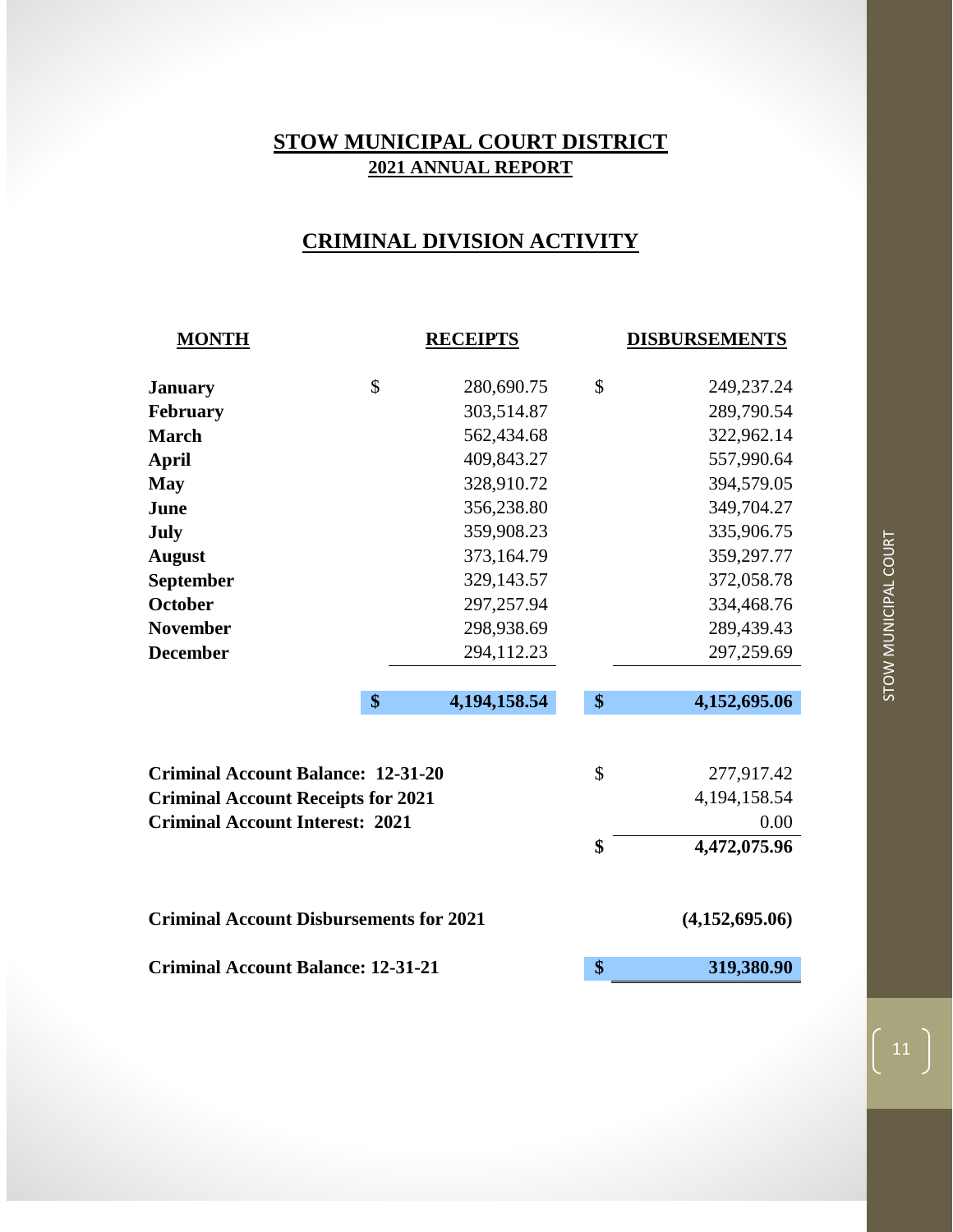## **CRIMINAL DIVISION ACTIVITY**

| <b>MONTH</b>                                   |    | <b>RECEIPTS</b> | <b>DISBURSEMENTS</b> |                 |  |  |
|------------------------------------------------|----|-----------------|----------------------|-----------------|--|--|
| <b>January</b>                                 | \$ | 280,690.75      | \$                   | 249,237.24      |  |  |
| February                                       |    | 303,514.87      |                      | 289,790.54      |  |  |
| <b>March</b>                                   |    | 562,434.68      |                      | 322,962.14      |  |  |
| <b>April</b>                                   |    | 409,843.27      |                      | 557,990.64      |  |  |
| <b>May</b>                                     |    | 328,910.72      |                      | 394,579.05      |  |  |
| June                                           |    | 356,238.80      |                      | 349,704.27      |  |  |
| July                                           |    | 359,908.23      |                      | 335,906.75      |  |  |
| <b>August</b>                                  |    | 373,164.79      |                      | 359,297.77      |  |  |
| <b>September</b>                               |    | 329,143.57      |                      | 372,058.78      |  |  |
| <b>October</b>                                 |    | 297,257.94      |                      | 334,468.76      |  |  |
| <b>November</b>                                |    | 298,938.69      |                      | 289,439.43      |  |  |
| <b>December</b>                                |    | 294,112.23      |                      | 297,259.69      |  |  |
|                                                |    |                 |                      |                 |  |  |
|                                                | \$ | 4,194,158.54    | \$                   | 4,152,695.06    |  |  |
|                                                |    |                 |                      |                 |  |  |
| <b>Criminal Account Balance: 12-31-20</b>      |    |                 | \$                   | 277,917.42      |  |  |
| <b>Criminal Account Receipts for 2021</b>      |    |                 |                      | 4, 194, 158. 54 |  |  |
| <b>Criminal Account Interest: 2021</b>         |    |                 |                      | 0.00            |  |  |
|                                                |    |                 | \$                   | 4,472,075.96    |  |  |
| <b>Criminal Account Disbursements for 2021</b> |    |                 |                      | (4,152,695.06)  |  |  |
| <b>Criminal Account Balance: 12-31-21</b>      | \$ | 319,380.90      |                      |                 |  |  |

 $\Big( 11 \Big)$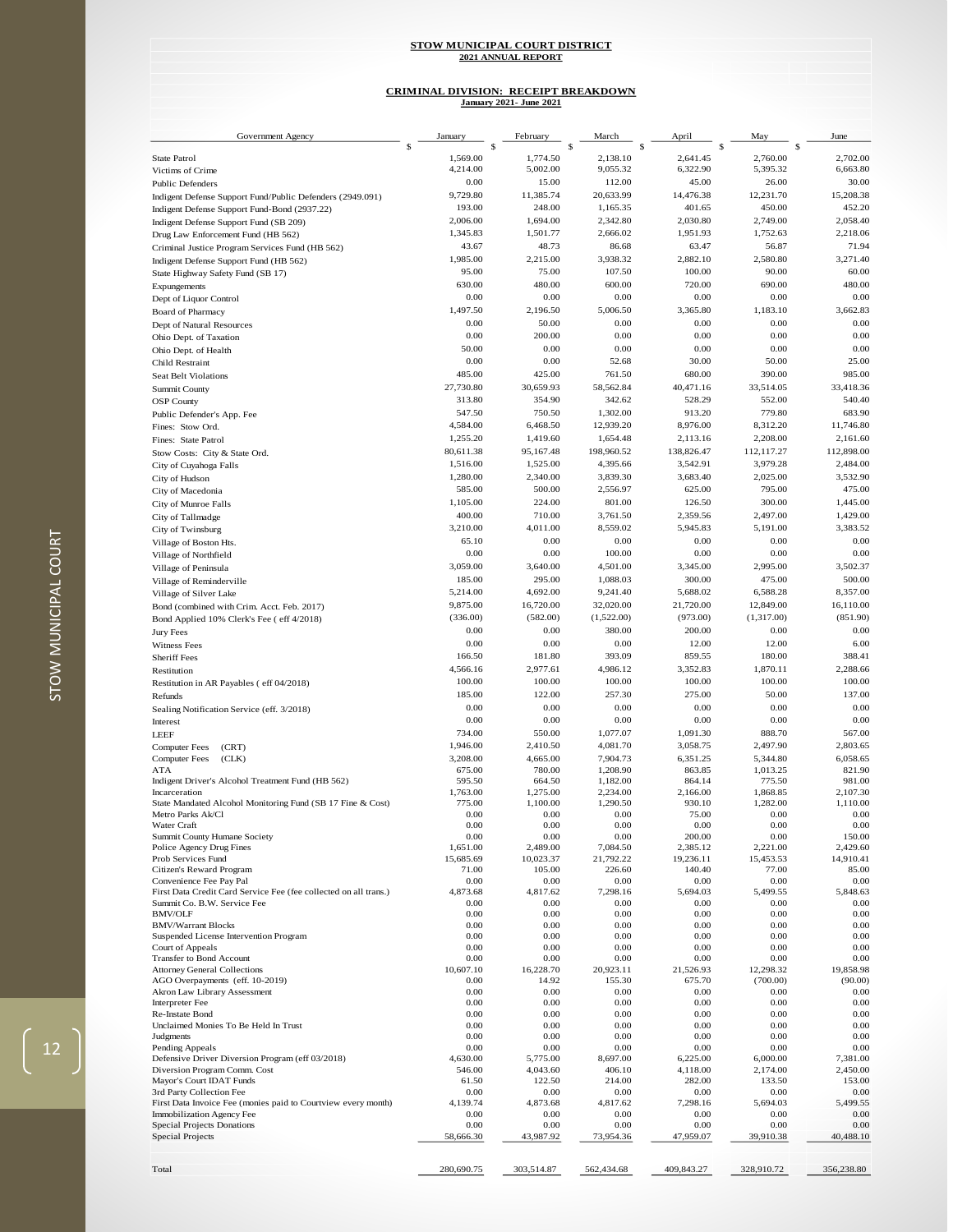## **CRIMINAL DIVISION: RECEIPT BREAKDOWN January 2021- June 2021**

| Government Agency                                                           | January            | February             | March                | April              | May                  | June                 |
|-----------------------------------------------------------------------------|--------------------|----------------------|----------------------|--------------------|----------------------|----------------------|
| <b>State Patrol</b>                                                         | \$<br>1,569.00     | \$<br>1,774.50       | \$<br>2,138.10       | S<br>2,641.45      | \$<br>2,760.00       | \$<br>2,702.00       |
| Victims of Crime                                                            | 4,214.00           | 5,002.00             | 9,055.32             | 6,322.90           | 5,395.32             | 6,663.80             |
|                                                                             | 0.00               | 15.00                | 112.00               | 45.00              | 26.00                | 30.00                |
| <b>Public Defenders</b>                                                     | 9,729.80           | 11,385.74            | 20,633.99            | 14,476.38          | 12,231.70            | 15,208.38            |
| Indigent Defense Support Fund/Public Defenders (2949.091)                   | 193.00             | 248.00               | 1,165.35             | 401.65             | 450.00               | 452.20               |
| Indigent Defense Support Fund-Bond (2937.22)                                | 2,006.00           | 1,694.00             | 2,342.80             | 2,030.80           | 2,749.00             | 2,058.40             |
| Indigent Defense Support Fund (SB 209)                                      | 1,345.83           | 1,501.77             | 2,666.02             | 1,951.93           | 1,752.63             | 2,218.06             |
| Drug Law Enforcement Fund (HB 562)                                          | 43.67              | 48.73                | 86.68                | 63.47              | 56.87                | 71.94                |
| Criminal Justice Program Services Fund (HB 562)                             | 1,985.00           | 2,215.00             | 3,938.32             | 2,882.10           | 2,580.80             | 3,271.40             |
| Indigent Defense Support Fund (HB 562)                                      | 95.00              |                      | 107.50               | 100.00             | 90.00                | 60.00                |
| State Highway Safety Fund (SB 17)                                           |                    | 75.00                |                      |                    |                      |                      |
| Expungements                                                                | 630.00             | 480.00               | 600.00               | 720.00             | 690.00               | 480.00               |
| Dept of Liquor Control                                                      | 0.00               | 0.00                 | 0.00                 | 0.00               | 0.00                 | 0.00                 |
| <b>Board of Pharmacy</b>                                                    | 1,497.50           | 2,196.50             | 5,006.50             | 3,365.80           | 1,183.10             | 3,662.83             |
| Dept of Natural Resources                                                   | 0.00               | 50.00                | 0.00                 | 0.00               | 0.00                 | 0.00                 |
| Ohio Dept. of Taxation                                                      | 0.00               | 200.00               | 0.00                 | 0.00               | 0.00                 | 0.00                 |
| Ohio Dept. of Health                                                        | 50.00              | 0.00                 | 0.00                 | 0.00               | 0.00                 | 0.00                 |
| Child Restraint                                                             | 0.00               | 0.00                 | 52.68                | 30.00              | 50.00                | 25.00                |
| <b>Seat Belt Violations</b>                                                 | 485.00             | 425.00               | 761.50               | 680.00             | 390.00               | 985.00               |
| <b>Summit County</b>                                                        | 27,730.80          | 30,659.93            | 58,562.84            | 40,471.16          | 33,514.05            | 33,418.36            |
| <b>OSP</b> County                                                           | 313.80             | 354.90               | 342.62               | 528.29             | 552.00               | 540.40               |
| Public Defender's App. Fee                                                  | 547.50             | 750.50               | 1,302.00             | 913.20             | 779.80               | 683.90               |
| Fines: Stow Ord.                                                            | 4,584.00           | 6,468.50             | 12,939.20            | 8,976.00           | 8,312.20             | 11,746.80            |
| Fines: State Patrol                                                         | 1,255.20           | 1,419.60             | 1,654.48             | 2,113.16           | 2,208.00             | 2,161.60             |
| Stow Costs: City & State Ord.                                               | 80,611.38          | 95,167.48            | 198,960.52           | 138,826.47         | 112,117.27           | 112,898.00           |
| City of Cuyahoga Falls                                                      | 1,516.00           | 1,525.00             | 4,395.66             | 3,542.91           | 3,979.28             | 2,484.00             |
| City of Hudson                                                              | 1,280.00           | 2,340.00             | 3,839.30             | 3,683.40           | 2,025.00             | 3,532.90             |
| City of Macedonia                                                           | 585.00             | 500.00               | 2,556.97             | 625.00             | 795.00               | 475.00               |
| City of Munroe Falls                                                        | 1,105.00           | 224.00               | 801.00               | 126.50             | 300.00               | 1,445.00             |
| City of Tallmadge                                                           | 400.00             | 710.00               | 3,761.50             | 2,359.56           | 2,497.00             | 1,429.00             |
| City of Twinsburg                                                           | 3,210.00           | 4,011.00             | 8,559.02             | 5,945.83           | 5,191.00             | 3,383.52             |
| Village of Boston Hts.                                                      | 65.10              | 0.00                 | 0.00                 | 0.00               | 0.00                 | 0.00                 |
| Village of Northfield                                                       | 0.00               | 0.00                 | 100.00               | 0.00               | 0.00                 | 0.00                 |
| Village of Peninsula                                                        | 3,059.00           | 3,640.00             | 4,501.00             | 3,345.00           | 2,995.00             | 3,502.37             |
|                                                                             | 185.00             | 295.00               | 1,088.03             | 300.00             | 475.00               | 500.00               |
| Village of Reminderville                                                    | 5,214.00           | 4,692.00             | 9,241.40             | 5,688.02           | 6,588.28             | 8,357.00             |
| Village of Silver Lake                                                      | 9,875.00           | 16,720.00            | 32,020.00            | 21,720.00          | 12,849.00            | 16,110.00            |
| Bond (combined with Crim. Acct. Feb. 2017)                                  |                    |                      |                      |                    |                      |                      |
| Bond Applied 10% Clerk's Fee ( eff 4/2018)                                  | (336.00)           | (582.00)             | (1,522.00)           | (973.00)<br>200.00 | (1,317.00)           | (851.90)             |
| Jury Fees                                                                   | 0.00               | 0.00                 | 380.00               |                    | 0.00                 | 0.00                 |
| Witness Fees                                                                | 0.00               | 0.00                 | 0.00                 | 12.00              | 12.00                | 6.00                 |
| <b>Sheriff Fees</b>                                                         | 166.50             | 181.80               | 393.09               | 859.55             | 180.00               | 388.41               |
| Restitution                                                                 | 4,566.16           | 2,977.61             | 4,986.12             | 3,352.83           | 1,870.11             | 2,288.66             |
| Restitution in AR Payables (eff 04/2018)                                    | 100.00             | 100.00               | 100.00               | 100.00             | 100.00               | 100.00               |
| Refunds                                                                     | 185.00             | 122.00               | 257.30               | 275.00             | 50.00                | 137.00               |
| Sealing Notification Service (eff. 3/2018)                                  | 0.00               | 0.00                 | 0.00                 | 0.00               | 0.00                 | 0.00                 |
| Interest                                                                    | 0.00               | 0.00                 | 0.00                 | 0.00               | 0.00                 | 0.00                 |
| LEEF                                                                        | 734.00             | 550.00               | 1,077.07             | 1,091.30           | 888.70               | 567.00               |
| <b>Computer Fees</b><br>(CRT)                                               | 1,946.00           | 2,410.50             | 4,081.70             | 3,058.75           | 2,497.90             | 2,803.65             |
| <b>Computer Fees</b><br>(CLK)                                               | 3,208.00           | 4,665.00             | 7,904.73             | 6,351.25           | 5,344.80             | 6,058.65             |
| ATA                                                                         | 675.00             | 780.00               | 1,208.90             | 863.85             | 1,013.25             | 821.90               |
| Indigent Driver's Alcohol Treatment Fund (HB 562)                           | 595.50             | 664.50               | 1,182.00             | 864.14             | 775.50               | 981.00               |
| Incarceration<br>State Mandated Alcohol Monitoring Fund (SB 17 Fine & Cost) | 1,763.00<br>775.00 | 1,275.00<br>1,100.00 | 2,234.00<br>1,290.50 | 2,166.00<br>930.10 | 1,868.85<br>1,282.00 | 2,107.30<br>1,110.00 |
| Metro Parks Ak/Cl                                                           | 0.00               | 0.00                 | 0.00                 | 75.00              | 0.00                 | 0.00                 |
| Water Craft                                                                 | 0.00               | 0.00                 | 0.00                 | 0.00               | 0.00                 | 0.00                 |
| Summit County Humane Society                                                | 0.00               | 0.00                 | 0.00                 | 200.00             | 0.00                 | 150.00               |
| Police Agency Drug Fines                                                    | 1,651.00           | 2,489.00             | 7,084.50             | 2,385.12           | 2,221.00             | 2.429.60             |
| Prob Services Fund                                                          | 15,685.69          | 10,023.37            | 21,792.22            | 19,236.11          | 15,453.53            | 14,910.41            |
| Citizen's Reward Program                                                    | 71.00              | 105.00               | 226.60               | 140.40             | 77.00                | 85.00                |
| Convenience Fee Pay Pal                                                     | 0.00               | 0.00                 | 0.00                 | 0.00               | 0.00                 | 0.00                 |
| First Data Credit Card Service Fee (fee collected on all trans.)            | 4,873.68           | 4,817.62             | 7,298.16             | 5,694.03           | 5,499.55             | 5,848.63             |
| Summit Co. B.W. Service Fee<br><b>BMV/OLF</b>                               | 0.00<br>0.00       | 0.00<br>0.00         | 0.00<br>0.00         | 0.00<br>0.00       | 0.00<br>0.00         | 0.00<br>0.00         |
| <b>BMV/Warrant Blocks</b>                                                   | 0.00               | 0.00                 | 0.00                 | 0.00               | 0.00                 | 0.00                 |
| Suspended License Intervention Program                                      | 0.00               | 0.00                 | 0.00                 | 0.00               | 0.00                 | 0.00                 |
| Court of Appeals                                                            | 0.00               | 0.00                 | 0.00                 | 0.00               | 0.00                 | 0.00                 |
| Transfer to Bond Account                                                    | 0.00               | 0.00                 | 0.00                 | 0.00               | 0.00                 | 0.00                 |
| <b>Attorney General Collections</b>                                         | 10,607.10          | 16,228.70            | 20,923.11            | 21,526.93          | 12,298.32            | 19,858.98            |
| AGO Overpayments (eff. 10-2019)                                             | 0.00               | 14.92                | 155.30               | 675.70             | (700.00)             | (90.00)              |
| Akron Law Library Assessment                                                | 0.00               | 0.00                 | 0.00                 | 0.00               | 0.00                 | 0.00                 |
| <b>Interpreter Fee</b>                                                      | 0.00               | 0.00                 | 0.00                 | 0.00               | 0.00                 | 0.00                 |
| Re-Instate Bond                                                             | 0.00               | 0.00                 | 0.00                 | 0.00               | 0.00                 | 0.00                 |
| Unclaimed Monies To Be Held In Trust<br>Judgments                           | 0.00<br>0.00       | 0.00<br>0.00         | 0.00<br>0.00         | 0.00<br>0.00       | 0.00<br>0.00         | 0.00<br>0.00         |
| Pending Appeals                                                             | 0.00               | 0.00                 | 0.00                 | 0.00               | 0.00                 | 0.00                 |
| Defensive Driver Diversion Program (eff 03/2018)                            | 4,630.00           | 5,775.00             | 8,697.00             | 6,225.00           | 6,000.00             | 7,381.00             |
| Diversion Program Comm. Cost                                                | 546.00             | 4,043.60             | 406.10               | 4,118.00           | 2,174.00             | 2,450.00             |
| Mayor's Court IDAT Funds                                                    | 61.50              | 122.50               | 214.00               | 282.00             | 133.50               | 153.00               |
| 3rd Party Collection Fee                                                    | 0.00               | 0.00                 | 0.00                 | 0.00               | 0.00                 | 0.00                 |
| First Data Invoice Fee (monies paid to Courtview every month)               | 4,139.74           | 4,873.68             | 4,817.62             | 7,298.16           | 5,694.03             | 5,499.55             |
| Immobilization Agency Fee                                                   | 0.00               | 0.00                 | 0.00                 | 0.00               | 0.00                 | 0.00                 |
| <b>Special Projects Donations</b>                                           | 0.00               | 0.00                 | 0.00                 | 0.00               | 0.00                 | 0.00                 |
| Special Projects                                                            | 58,666.30          | 43,987.92            | 73,954.36            | 47,959.07          | 39,910.38            | 40,488.10            |
|                                                                             |                    |                      |                      |                    |                      |                      |
| Total                                                                       | 280,690.75         | 303,514.87           | 562,434.68           | 409,843.27         | 328,910.72           | 356,238.80           |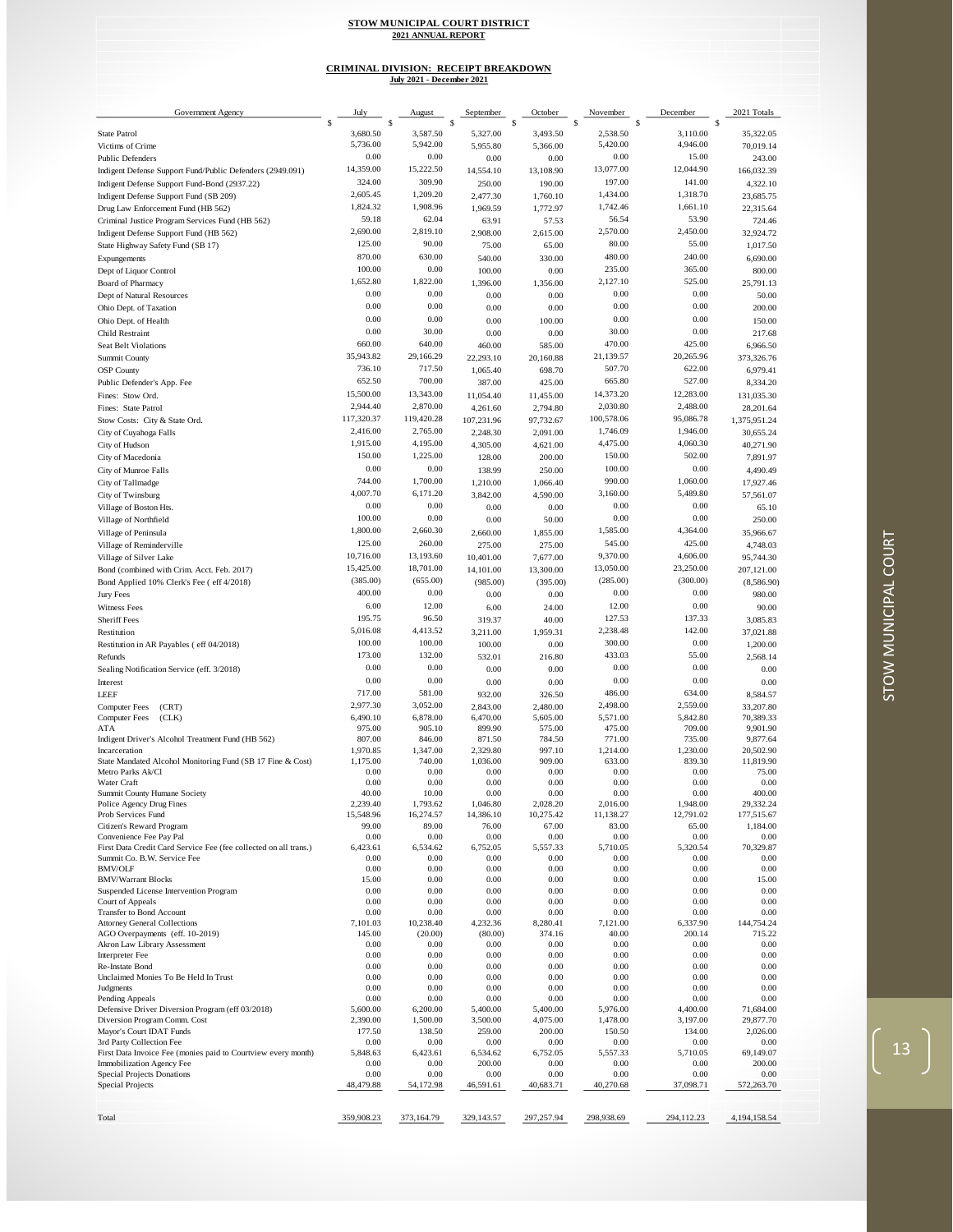## **CRIMINAL DIVISION: RECEIPT BREAKDOWN July 2021 - December 2021**

| Government Agency                                                                           | July               | August               | September           | October             | November           | December             | 2021 Totals            |
|---------------------------------------------------------------------------------------------|--------------------|----------------------|---------------------|---------------------|--------------------|----------------------|------------------------|
| <b>State Patrol</b>                                                                         | \$<br>3,680.50     | S<br>3,587.50        | s<br>5,327.00       | \$<br>3,493.50      | \$<br>2,538.50     | \$<br>3,110.00       | \$<br>35,322.05        |
| Victims of Crime                                                                            | 5,736.00           | 5,942.00             | 5,955.80            | 5,366.00            | 5,420.00           | 4,946.00             | 70,019.14              |
| <b>Public Defenders</b>                                                                     | 0.00               | 0.00                 | 0.00                | 0.00                | 0.00               | 15.00                | 243.00                 |
| Indigent Defense Support Fund/Public Defenders (2949.091)                                   | 14,359.00          | 15,222.50            | 14,554.10           | 13,108.90           | 13,077.00          | 12,044.90            | 166,032.39             |
| Indigent Defense Support Fund-Bond (2937.22)                                                | 324.00             | 309.90               | 250.00              | 190.00              | 197.00             | 141.00               | 4,322.10               |
| Indigent Defense Support Fund (SB 209)                                                      | 2,605.45           | 1,209.20             | 2,477.30            | 1,760.10            | 1,434.00           | 1,318.70             | 23,685.75              |
| Drug Law Enforcement Fund (HB 562)                                                          | 1,824.32<br>59.18  | 1,908.96<br>62.04    | 1,969.59            | 1,772.97            | 1,742.46<br>56.54  | 1,661.10<br>53.90    | 22,315.64              |
| Criminal Justice Program Services Fund (HB 562)<br>Indigent Defense Support Fund (HB 562)   | 2,690.00           | 2,819.10             | 63.91<br>2,908.00   | 57.53<br>2,615.00   | 2,570.00           | 2,450.00             | 724.46<br>32,924.72    |
| State Highway Safety Fund (SB 17)                                                           | 125.00             | 90.00                | 75.00               | 65.00               | 80.00              | 55.00                | 1,017.50               |
| Expungements                                                                                | 870.00             | 630.00               | 540.00              | 330.00              | 480.00             | 240.00               | 6,690.00               |
| Dept of Liquor Control                                                                      | 100.00             | 0.00                 | 100.00              | 0.00                | 235.00             | 365.00               | 800.00                 |
| Board of Pharmacy                                                                           | 1,652.80           | 1,822.00             | 1,396.00            | 1,356.00            | 2,127.10           | 525.00               | 25,791.13              |
| Dept of Natural Resources                                                                   | 0.00               | 0.00                 | 0.00                | 0.00                | 0.00               | 0.00                 | 50.00                  |
| Ohio Dept. of Taxation                                                                      | 0.00               | 0.00                 | 0.00                | 0.00                | 0.00               | 0.00                 | 200.00                 |
| Ohio Dept. of Health                                                                        | 0.00               | 0.00                 | 0.00                | 100.00              | 0.00               | 0.00                 | 150.00                 |
| Child Restraint                                                                             | 0.00<br>660.00     | 30.00<br>640.00      | 0.00                | 0.00                | 30.00<br>470.00    | 0.00<br>425.00       | 217.68                 |
| <b>Seat Belt Violations</b><br>Summit County                                                | 35,943.82          | 29,166.29            | 460.00<br>22,293.10 | 585.00<br>20,160.88 | 21,139.57          | 20,265.96            | 6,966.50<br>373,326.76 |
| <b>OSP</b> County                                                                           | 736.10             | 717.50               | 1,065.40            | 698.70              | 507.70             | 622.00               | 6,979.41               |
| Public Defender's App. Fee                                                                  | 652.50             | 700.00               | 387.00              | 425.00              | 665.80             | 527.00               | 8,334.20               |
| Fines: Stow Ord.                                                                            | 15,500.00          | 13,343.00            | 11,054.40           | 11,455.00           | 14,373.20          | 12,283.00            | 131,035.30             |
| Fines: State Patrol                                                                         | 2,944.40           | 2,870.00             | 4,261.60            | 2,794.80            | 2,030.80           | 2,488.00             | 28,201.64              |
| Stow Costs: City & State Ord.                                                               | 117,320.37         | 119,420.28           | 107,231.96          | 97,732.67           | 100,578.06         | 95,086.78            | 1,375,951.24           |
| City of Cuyahoga Falls                                                                      | 2,416.00           | 2,765.00             | 2,248.30            | 2,091.00            | 1,746.09           | 1,946.00             | 30,655.24              |
| City of Hudson                                                                              | 1,915.00           | 4,195.00             | 4,305.00            | 4,621.00            | 4,475.00           | 4,060.30             | 40,271.90              |
| City of Macedonia                                                                           | 150.00             | 1,225.00             | 128.00              | 200.00              | 150.00             | 502.00               | 7,891.97               |
| City of Munroe Falls                                                                        | 0.00               | 0.00                 | 138.99              | 250.00              | 100.00             | 0.00                 | 4,490.49               |
| City of Tallmadge                                                                           | 744.00<br>4,007.70 | 1,700.00<br>6,171.20 | 1,210.00            | 1,066.40            | 990.00<br>3,160.00 | 1,060.00<br>5,489.80 | 17,927.46              |
| City of Twinsburg                                                                           | 0.00               | 0.00                 | 3,842.00            | 4,590.00            | 0.00               | 0.00                 | 57,561.07              |
| Village of Boston Hts.<br>Village of Northfield                                             | 100.00             | 0.00                 | 0.00<br>0.00        | 0.00<br>50.00       | 0.00               | 0.00                 | 65.10<br>250.00        |
| Village of Peninsula                                                                        | 1,800.00           | 2,660.30             | 2,660.00            | 1,855.00            | 1,585.00           | 4,364.00             | 35,966.67              |
| Village of Reminderville                                                                    | 125.00             | 260.00               | 275.00              | 275.00              | 545.00             | 425.00               | 4,748.03               |
| Village of Silver Lake                                                                      | 10,716.00          | 13,193.60            | 10,401.00           | 7,677.00            | 9,370.00           | 4,606.00             | 95,744.30              |
| Bond (combined with Crim. Acct. Feb. 2017)                                                  | 15,425.00          | 18,701.00            | 14,101.00           | 13,300.00           | 13,050.00          | 23,250.00            | 207,121.00             |
| Bond Applied 10% Clerk's Fee ( eff 4/2018)                                                  | (385.00)           | (655.00)             | (985.00)            | (395.00)            | (285.00)           | (300.00)             | (8,586.90)             |
| Jury Fees                                                                                   | 400.00             | 0.00                 | 0.00                | 0.00                | 0.00               | 0.00                 | 980.00                 |
| <b>Witness Fees</b>                                                                         | 6.00               | 12.00                | 6.00                | 24.00               | 12.00              | 0.00                 | 90.00                  |
| Sheriff Fees                                                                                | 195.75             | 96.50                | 319.37              | 40.00               | 127.53             | 137.33               | 3,085.83               |
| Restitution                                                                                 | 5,016.08           | 4,413.52             | 3,211.00            | 1,959.31            | 2,238.48           | 142.00               | 37,021.88              |
| Restitution in AR Payables (eff 04/2018)                                                    | 100.00<br>173.00   | 100.00<br>132.00     | 100.00              | 0.00                | 300.00<br>433.03   | 0.00<br>55.00        | 1,200.00               |
| Refunds<br>Sealing Notification Service (eff. 3/2018)                                       | 0.00               | 0.00                 | 532.01<br>0.00      | 216.80<br>0.00      | 0.00               | 0.00                 | 2,568.14<br>0.00       |
| Interest                                                                                    | 0.00               | 0.00                 | 0.00                | 0.00                | 0.00               | 0.00                 | 0.00                   |
| <b>LEEF</b>                                                                                 | 717.00             | 581.00               | 932.00              | 326.50              | 486.00             | 634.00               | 8,584.57               |
| <b>Computer Fees</b><br>(CRT)                                                               | 2,977.30           | 3,052.00             | 2,843.00            | 2,480.00            | 2,498.00           | 2,559.00             | 33,207.80              |
| (CLK)<br><b>Computer Fees</b>                                                               | 6,490.10           | 6,878.00             | 6,470.00            | 5,605.00            | 5,571.00           | 5,842.80             | 70,389.33              |
| ATA                                                                                         | 975.00             | 905.10               | 899.90              | 575.00              | 475.00             | 709.00               | 9,901.90               |
| Indigent Driver's Alcohol Treatment Fund (HB 562)<br>Incarceration                          | 807.00<br>1,970.85 | 846.00<br>1,347.00   | 871.50<br>2,329.80  | 784.50<br>997.10    | 771.00<br>1,214.00 | 735.00<br>1,230.00   | 9,877.64<br>20,502.90  |
| State Mandated Alcohol Monitoring Fund (SB 17 Fine & Cost)                                  | 1,175.00           | 740.00               | 1,036.00            | 909.00              | 633.00             | 839.30               | 11,819.90              |
| Metro Parks Ak/Cl                                                                           | 0.00               | 0.00                 | 0.00                | 0.00                | 0.00               | 0.00                 | 75.00                  |
| Water Craft<br>Summit County Humane Society                                                 | 0.00<br>40.00      | 0.00<br>10.00        | 0.00<br>0.00        | 0.00<br>0.00        | 0.00<br>0.00       | 0.00<br>0.00         | 0.00<br>400.00         |
| Police Agency Drug Fines                                                                    | 2.239.40           | 1,793.62             | 1,046.80            | 2.028.20            | 2,016.00           | 1,948.00             | 29,332.24              |
| Prob Services Fund                                                                          | 15,548.96          | 16,274.57            | 14,386.10           | 10,275.42           | 11,138.27          | 12,791.02            | 177,515.67             |
| Citizen's Reward Program                                                                    | 99.00              | 89.00                | 76.00               | 67.00               | 83.00              | 65.00                | 1,184.00               |
| Convenience Fee Pay Pal<br>First Data Credit Card Service Fee (fee collected on all trans.) | 0.00<br>6,423.61   | 0.00<br>6,534.62     | 0.00<br>6,752.05    | 0.00<br>5,557.33    | 0.00<br>5,710.05   | 0.00<br>5,320.54     | 0.00<br>70,329.87      |
| Summit Co. B.W. Service Fee                                                                 | 0.00               | 0.00                 | 0.00                | 0.00                | 0.00               | 0.00                 | 0.00                   |
| <b>BMV/OLF</b>                                                                              | 0.00               | 0.00                 | 0.00                | 0.00                | 0.00               | 0.00                 | 0.00                   |
| <b>BMV/Warrant Blocks</b><br>Suspended License Intervention Program                         | 15.00<br>0.00      | 0.00<br>0.00         | 0.00<br>0.00        | 0.00<br>0.00        | 0.00<br>0.00       | 0.00<br>0.00         | 15.00<br>0.00          |
| Court of Appeals                                                                            | 0.00               | 0.00                 | 0.00                | 0.00                | 0.00               | 0.00                 | 0.00                   |
| Transfer to Bond Account                                                                    | 0.00               | 0.00                 | 0.00                | 0.00                | 0.00               | 0.00                 | 0.00                   |
| <b>Attorney General Collections</b>                                                         | 7,101.03           | 10,238.40            | 4,232.36            | 8,280.41            | 7,121.00           | 6,337.90             | 144,754.24             |
| AGO Overpayments (eff. 10-2019)<br>Akron Law Library Assessment                             | 145.00<br>0.00     | (20.00)<br>0.00      | (80.00)<br>0.00     | 374.16<br>0.00      | 40.00<br>0.00      | 200.14<br>0.00       | 715.22<br>0.00         |
| <b>Interpreter Fee</b>                                                                      | 0.00               | 0.00                 | 0.00                | 0.00                | 0.00               | 0.00                 | 0.00                   |
| Re-Instate Bond                                                                             | 0.00               | 0.00                 | 0.00                | 0.00                | 0.00               | 0.00                 | 0.00                   |
| Unclaimed Monies To Be Held In Trust                                                        | 0.00               | 0.00                 | 0.00                | 0.00                | 0.00               | 0.00                 | 0.00                   |
| Judgments<br>Pending Appeals                                                                | 0.00<br>0.00       | 0.00<br>0.00         | 0.00<br>0.00        | 0.00<br>0.00        | 0.00<br>0.00       | 0.00<br>0.00         | 0.00<br>0.00           |
| Defensive Driver Diversion Program (eff 03/2018)                                            | 5,600.00           | 6,200.00             | 5,400.00            | 5,400.00            | 5,976.00           | 4,400.00             | 71,684.00              |
| Diversion Program Comm. Cost                                                                | 2,390.00           | 1,500.00             | 3,500.00            | 4,075.00            | 1,478.00           | 3,197.00             | 29,877.70              |
| Mayor's Court IDAT Funds                                                                    | 177.50             | 138.50               | 259.00              | 200.00              | 150.50             | 134.00               | 2,026.00               |
| 3rd Party Collection Fee<br>First Data Invoice Fee (monies paid to Courtview every month)   | 0.00<br>5,848.63   | 0.00<br>6,423.61     | 0.00<br>6,534.62    | 0.00<br>6,752.05    | 0.00<br>5,557.33   | 0.00<br>5,710.05     | 0.00<br>69,149.07      |
| Immobilization Agency Fee                                                                   | 0.00               | 0.00                 | 200.00              | 0.00                | 0.00               | 0.00                 | 200.00                 |
| <b>Special Projects Donations</b>                                                           | 0.00               | 0.00                 | 0.00                | 0.00                | 0.00               | 0.00                 | 0.00                   |
| Special Projects                                                                            | 48,479.88          | 54,172.98            | 46,591.61           | 40,683.71           | 40,270.68          | 37,098.71            | 572,263.70             |
|                                                                                             |                    |                      |                     |                     |                    |                      |                        |
| Total                                                                                       | 359,908.23         | 373,164.79           | 329,143.57          | 297,257.94          | 298,938.69         | 294,112.23           | 4, 194, 158. 54        |

 $\left(\begin{array}{c} 13 \end{array}\right)$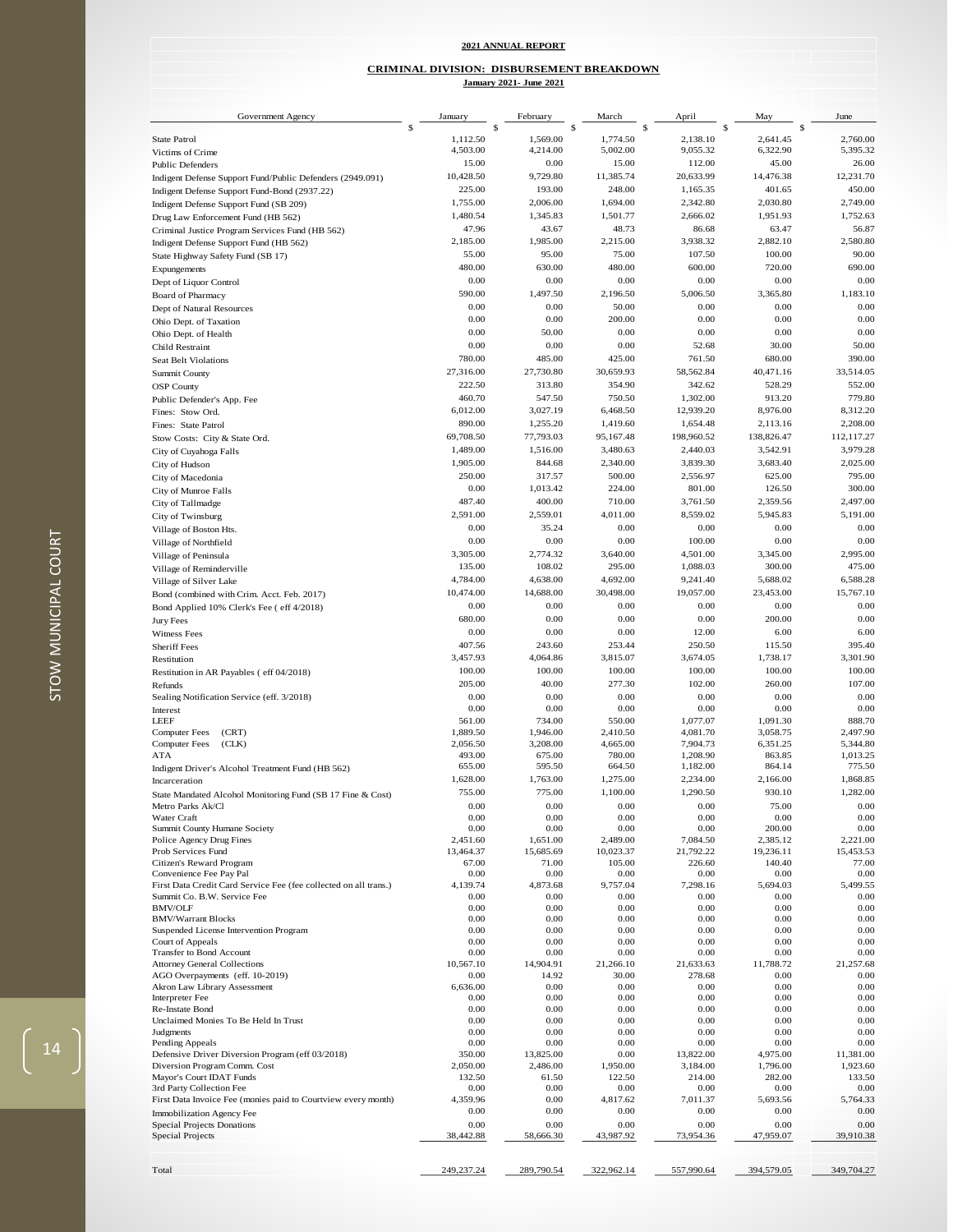#### **2021 ANNUAL REPORT**

#### **CRIMINAL DIVISION: DISBURSEMENT BREAKDOWN**

Government Agency  $s \frac{\text{January}}{\text{s}} \frac{\text{February}}{\text{s}} \frac{\text{March}}{\text{s}} \frac{\text{March}}{\text{s}} \frac{\text{April}}{\text{s}} \frac{\text{My}}{\text{s}} \frac{\text{May}}{\text{s}} \frac{\text{June}}{\text{Step 1}}$  $\frac{\text{February}}{\$}$ State Patrol 1,112.50 1,569.00 1,774.50 2,138.10 2,641.45 2,760.00 Victims of Crime 6,322.90 5,395.32 6,325.32 6,395.32 6,395.32 6,395.32 6,322.90 5,395.32 Public Defenders 26.00 15.00 0.00 15.00 12.00 45.00 26.00 Indigent Defense Support Fund/Public Defenders (2949.091) 10,428.50 9,729.80 11,385.74 20,633.99 14,476.38 12,231.70<br>
10,428.50 9,729.80 11,385.74 20,633.99 14,476.38 12,231.70<br>
103.00 248.00 1,165.35 401.65 450.00 193.00 193.00 193.00 193.00 193.00 193.00 1,165.35 401.65 450.00<br>1ndigent Defense Support Fund (SB 209) 1,165.00 1,694.00 1,694.00 2,342.80 2,030.80 2,749.00 Indigent Defense Support Fund (SB 209) 1,755.00 1,694.00 1,694.00 2,342.80 2,030.80 2,749.00<br>
2,749.00 1,480.54 1,345.83 1,501.77 2,666.02 1,951.93 1,752.63

**January 2021- June 2021**

| Drug Law Enforcement Fund (HB 562)              | 1,480.54  | 1,345.83  | 1,501.77  | 2,666.02   | 1,951.93   | 1,752.63   |
|-------------------------------------------------|-----------|-----------|-----------|------------|------------|------------|
| Criminal Justice Program Services Fund (HB 562) | 47.96     | 43.67     | 48.73     | 86.68      | 63.47      | 56.87      |
| Indigent Defense Support Fund (HB 562)          | 2,185.00  | 1,985.00  | 2,215.00  | 3,938.32   | 2,882.10   | 2,580.80   |
| State Highway Safety Fund (SB 17)               | 55.00     | 95.00     | 75.00     | 107.50     | 100.00     | 90.00      |
| Expungements                                    | 480.00    | 630.00    | 480.00    | 600.00     | 720.00     | 690.00     |
| Dept of Liquor Control                          | 0.00      | 0.00      | 0.00      | 0.00       | 0.00       | 0.00       |
| <b>Board of Pharmacy</b>                        | 590.00    | 1,497.50  | 2,196.50  | 5,006.50   | 3,365.80   | 1,183.10   |
| Dept of Natural Resources                       | 0.00      | 0.00      | 50.00     | 0.00       | 0.00       | 0.00       |
| Ohio Dept. of Taxation                          | 0.00      | 0.00      | 200.00    | 0.00       | 0.00       | 0.00       |
| Ohio Dept. of Health                            | 0.00      | 50.00     | 0.00      | 0.00       | 0.00       | 0.00       |
| Child Restraint                                 | 0.00      | 0.00      | 0.00      | 52.68      | 30.00      | 50.00      |
| Seat Belt Violations                            | 780.00    | 485.00    | 425.00    | 761.50     | 680.00     | 390.00     |
| Summit County                                   | 27,316.00 | 27,730.80 | 30,659.93 | 58,562.84  | 40,471.16  | 33,514.05  |
| <b>OSP County</b>                               | 222.50    | 313.80    | 354.90    | 342.62     | 528.29     | 552.00     |
| Public Defender's App. Fee                      | 460.70    | 547.50    | 750.50    | 1,302.00   | 913.20     | 779.80     |
| Fines: Stow Ord.                                | 6,012.00  | 3,027.19  | 6,468.50  | 12,939.20  | 8,976.00   | 8,312.20   |
| Fines: State Patrol                             | 890.00    | 1,255.20  | 1,419.60  | 1,654.48   | 2,113.16   | 2,208.00   |
| Stow Costs: City & State Ord.                   | 69,708.50 | 77,793.03 | 95,167.48 | 198,960.52 | 138,826.47 | 112,117.27 |
| City of Cuyahoga Falls                          | 1,489.00  | 1,516.00  | 3,480.63  | 2,440.03   | 3,542.91   | 3,979.28   |
| City of Hudson                                  | 1,905.00  | 844.68    | 2,340.00  | 3,839.30   | 3,683.40   | 2,025.00   |
| City of Macedonia                               | 250.00    | 317.57    | 500.00    | 2,556.97   | 625.00     | 795.00     |
| City of Munroe Falls                            | 0.00      | 1,013.42  | 224.00    | 801.00     | 126.50     | 300.00     |
| City of Tallmadge                               | 487.40    | 400.00    | 710.00    | 3,761.50   | 2,359.56   | 2,497.00   |
| City of Twinsburg                               | 2,591.00  | 2,559.01  | 4,011.00  | 8,559.02   | 5,945.83   | 5,191.00   |
| Village of Boston Hts.                          | 0.00      | 35.24     | 0.00      | 0.00       | 0.00       | 0.00       |
| Village of Northfield                           | 0.00      | 0.00      | 0.00      | 100.00     | 0.00       | 0.00       |
| Village of Peninsula                            | 3,305.00  | 2,774.32  | 3,640.00  | 4,501.00   | 3,345.00   | 2,995.00   |
| Village of Reminderville                        | 135.00    | 108.02    | 295.00    | 1,088.03   | 300.00     | 475.00     |
| Village of Silver Lake                          | 4,784.00  | 4,638.00  | 4,692.00  | 9,241.40   | 5,688.02   | 6,588.28   |
| Bond (combined with Crim. Acct. Feb. 2017)      | 10,474.00 | 14,688.00 | 30,498.00 | 19,057.00  | 23,453.00  | 15,767.10  |
| Bond Applied 10% Clerk's Fee ( eff 4/2018)      | 0.00      | 0.00      | 0.00      | 0.00       | 0.00       | 0.00       |
| Jury Fees                                       | 680.00    | 0.00      | 0.00      | 0.00       | 200.00     | 0.00       |
| Witness Fees                                    | 0.00      | 0.00      | 0.00      | 12.00      | 6.00       | 6.00       |
| <b>Sheriff Fees</b>                             | 407.56    | 243.60    | 253.44    | 250.50     | 115.50     | 395.40     |
| Restitution                                     | 3,457.93  | 4,064.86  | 3,815.07  | 3,674.05   | 1,738.17   | 3,301.90   |
| Restitution in AR Payables (eff 04/2018)        | 100.00    | 100.00    | 100.00    | 100.00     | 100.00     | 100.00     |
| Refunds                                         | 205.00    | 40.00     | 277.30    | 102.00     | 260.00     | 107.00     |
| Sealing Notification Service (eff. 3/2018)      | 0.00      | 0.00      | 0.00      | 0.00       | 0.00       | 0.00       |
| Interest                                        | 0.00      | 0.00      | 0.00      | 0.00       | 0.00       | 0.00       |
| LEEE.                                           | 561.00    | 734.00    | 550.00    | 1 077 07   | 1.091.30   | 888.70     |

| <b>Summit County</b>                                             | 27,316.00          | 27,730.80         | 30,659.93          | 58,562.84            | 40,471.16          | 33,514.05          |
|------------------------------------------------------------------|--------------------|-------------------|--------------------|----------------------|--------------------|--------------------|
| <b>OSP</b> County                                                | 222.50             | 313.80            | 354.90             | 342.62               | 528.29             | 552.00             |
| Public Defender's App. Fee                                       | 460.70             | 547.50            | 750.50             | 1,302.00             | 913.20             | 779.80             |
| Fines: Stow Ord.                                                 | 6,012.00           | 3,027.19          | 6,468.50           | 12,939.20            | 8,976.00           | 8,312.20           |
| Fines: State Patrol                                              | 890.00             | 1,255.20          | 1,419.60           | 1,654.48             | 2,113.16           | 2,208.00           |
| Stow Costs: City & State Ord.                                    | 69,708.50          | 77,793.03         | 95,167.48          | 198,960.52           | 138,826.47         | 112,117.27         |
| City of Cuyahoga Falls                                           | 1,489.00           | 1,516.00          | 3,480.63           | 2,440.03             | 3,542.91           | 3,979.28           |
| City of Hudson                                                   | 1,905.00           | 844.68            | 2,340.00           | 3,839.30             | 3,683.40           | 2,025.00           |
| City of Macedonia                                                | 250.00             | 317.57            | 500.00             | 2,556.97             | 625.00             | 795.00             |
| City of Munroe Falls                                             | 0.00               | 1,013.42          | 224.00             | 801.00               | 126.50             | 300.00             |
| City of Tallmadge                                                | 487.40             | 400.00            | 710.00             | 3,761.50             | 2,359.56           | 2,497.00           |
| City of Twinsburg                                                | 2,591.00           | 2,559.01          | 4,011.00           | 8,559.02             | 5,945.83           | 5,191.00           |
| Village of Boston Hts.                                           | 0.00               | 35.24             | 0.00               | 0.00                 | 0.00               | 0.00               |
| Village of Northfield                                            | 0.00               | 0.00              | 0.00               | 100.00               | 0.00               | 0.00               |
|                                                                  | 3,305.00           | 2,774.32          | 3,640.00           | 4,501.00             | 3,345.00           | 2,995.00           |
| Village of Peninsula                                             | 135.00             | 108.02            | 295.00             | 1,088.03             | 300.00             | 475.00             |
| Village of Reminderville                                         | 4,784.00           | 4,638.00          | 4,692.00           | 9,241.40             | 5,688.02           | 6,588.28           |
| Village of Silver Lake                                           |                    |                   |                    |                      |                    |                    |
| Bond (combined with Crim. Acct. Feb. 2017)                       | 10,474.00          | 14,688.00         | 30,498.00          | 19,057.00            | 23,453.00          | 15,767.10          |
| Bond Applied 10% Clerk's Fee ( eff 4/2018)                       | 0.00               | 0.00              | 0.00               | 0.00                 | 0.00               | 0.00               |
| Jury Fees                                                        | 680.00             | 0.00              | 0.00               | 0.00                 | 200.00             | 0.00               |
| Witness Fees                                                     | 0.00               | 0.00              | 0.00               | 12.00                | 6.00               | 6.00               |
| <b>Sheriff Fees</b>                                              | 407.56             | 243.60            | 253.44             | 250.50               | 115.50             | 395.40             |
| Restitution                                                      | 3,457.93           | 4,064.86          | 3,815.07           | 3,674.05             | 1,738.17           | 3,301.90           |
| Restitution in AR Payables (eff 04/2018)                         | 100.00             | 100.00            | 100.00             | 100.00               | 100.00             | 100.00             |
| Refunds                                                          | 205.00             | 40.00             | 277.30             | 102.00               | 260.00             | 107.00             |
| Sealing Notification Service (eff. 3/2018)                       | 0.00               | 0.00              | 0.00               | 0.00                 | 0.00               | 0.00               |
| Interest                                                         | 0.00               | 0.00              | 0.00               | 0.00                 | 0.00               | 0.00               |
| LEEF                                                             | 561.00             | 734.00            | 550.00             | 1.077.07             | 1,091.30           | 888.70             |
| <b>Computer Fees</b><br>(CRT)                                    | 1,889.50           | 1,946.00          | 2,410.50           | 4.081.70             | 3,058.75           | 2,497.90           |
| <b>Computer Fees</b><br>(CLK)                                    | 2,056.50           | 3,208.00          | 4,665.00           | 7,904.73             | 6,351.25           | 5,344.80           |
| ATA                                                              | 493.00<br>655.00   | 675.00<br>595.50  | 780.00<br>664.50   | 1,208.90             | 863.85<br>864.14   | 1,013.25<br>775.50 |
| Indigent Driver's Alcohol Treatment Fund (HB 562)                | 1,628.00           | 1,763.00          | 1,275.00           | 1,182.00<br>2,234.00 | 2.166.00           | 1,868.85           |
| Incarceration                                                    |                    |                   |                    |                      |                    |                    |
| State Mandated Alcohol Monitoring Fund (SB 17 Fine & Cost)       | 755.00             | 775.00            | 1,100.00           | 1,290.50             | 930.10             | 1,282.00           |
| Metro Parks Ak/Cl                                                | 0.00               | 0.00              | 0.00               | 0.00                 | 75.00              | 0.00               |
| Water Craft<br>Summit County Humane Society                      | 0.00<br>0.00       | 0.00<br>0.00      | 0.00<br>0.00       | 0.00<br>0.00         | 0.00<br>200.00     | 0.00<br>0.00       |
| Police Agency Drug Fines                                         | 2,451.60           | 1,651.00          | 2,489.00           | 7,084.50             | 2,385.12           | 2,221.00           |
| Prob Services Fund                                               | 13,464.37          | 15,685.69         | 10,023.37          | 21,792.22            | 19,236.11          | 15,453.53          |
| Citizen's Reward Program                                         | 67.00              | 71.00             | 105.00             | 226.60               | 140.40             | 77.00              |
| Convenience Fee Pay Pal                                          | 0.00               | 0.00              | 0.00               | 0.00                 | 0.00               | 0.00               |
| First Data Credit Card Service Fee (fee collected on all trans.) | 4,139.74           | 4,873.68          | 9,757.04           | 7,298.16             | 5,694.03           | 5,499.55           |
| Summit Co. B.W. Service Fee                                      | 0.00               | 0.00              | 0.00               | 0.00                 | 0.00               | 0.00               |
| <b>BMV/OLF</b>                                                   | 0.00               | 0.00              | 0.00               | 0.00                 | 0.00               | 0.00               |
| <b>BMV/Warrant Blocks</b>                                        | 0.00               | 0.00              | 0.00               | 0.00                 | 0.00               | 0.00               |
| Suspended License Intervention Program                           | 0.00               | 0.00              | 0.00               | 0.00                 | 0.00               | 0.00               |
| Court of Appeals<br>Transfer to Bond Account                     | 0.00<br>0.00       | 0.00<br>0.00      | 0.00<br>0.00       | 0.00<br>0.00         | 0.00<br>0.00       | 0.00<br>0.00       |
| <b>Attorney General Collections</b>                              | 10,567.10          | 14,904.91         | 21,266.10          | 21,633.63            | 11,788.72          | 21,257.68          |
| AGO Overpayments (eff. 10-2019)                                  | 0.00               | 14.92             | 30.00              | 278.68               | 0.00               | 0.00               |
| Akron Law Library Assessment                                     | 6,636.00           | 0.00              | 0.00               | 0.00                 | 0.00               | 0.00               |
| <b>Interpreter Fee</b>                                           | 0.00               | 0.00              | 0.00               | 0.00                 | 0.00               | 0.00               |
| Re-Instate Bond                                                  | 0.00               | 0.00              | 0.00               | 0.00                 | 0.00               | 0.00               |
| Unclaimed Monies To Be Held In Trust                             | 0.00               | 0.00              | 0.00               | 0.00                 | 0.00               | 0.00               |
| Judgments                                                        | 0.00               | 0.00              | 0.00               | 0.00                 | 0.00               | 0.00               |
| Pending Appeals                                                  | 0.00               | 0.00              | 0.00               | 0.00                 | 0.00               | 0.00               |
| Defensive Driver Diversion Program (eff 03/2018)                 | 350.00             | 13,825.00         | 0.00               | 13,822.00            | 4,975.00           | 11,381.00          |
| Diversion Program Comm. Cost<br>Mayor's Court IDAT Funds         | 2,050.00<br>132.50 | 2,486.00<br>61.50 | 1,950.00<br>122.50 | 3,184.00<br>214.00   | 1,796.00<br>282.00 | 1,923.60<br>133.50 |
| 3rd Party Collection Fee                                         | 0.00               | 0.00              | 0.00               | 0.00                 | 0.00               | 0.00               |
| First Data Invoice Fee (monies paid to Courtview every month)    | 4,359.96           | 0.00              | 4,817.62           | 7,011.37             | 5,693.56           | 5,764.33           |
| Immobilization Agency Fee                                        | 0.00               | 0.00              | 0.00               | 0.00                 | 0.00               | 0.00               |
| Special Projects Donations                                       | 0.00               | 0.00              | 0.00               | 0.00                 | 0.00               | 0.00               |
| Special Projects                                                 | 38,442.88          | 58,666.30         | 43,987.92          | 73,954.36            | 47,959.07          | 39,910.38          |
|                                                                  |                    |                   |                    |                      |                    |                    |
|                                                                  |                    |                   |                    |                      |                    |                    |
| Total                                                            | 249,237.24         | 289,790.54        | 322,962.14         | 557,990.64           | 394,579.05         | 349,704.27         |
|                                                                  |                    |                   |                    |                      |                    |                    |
|                                                                  |                    |                   |                    |                      |                    |                    |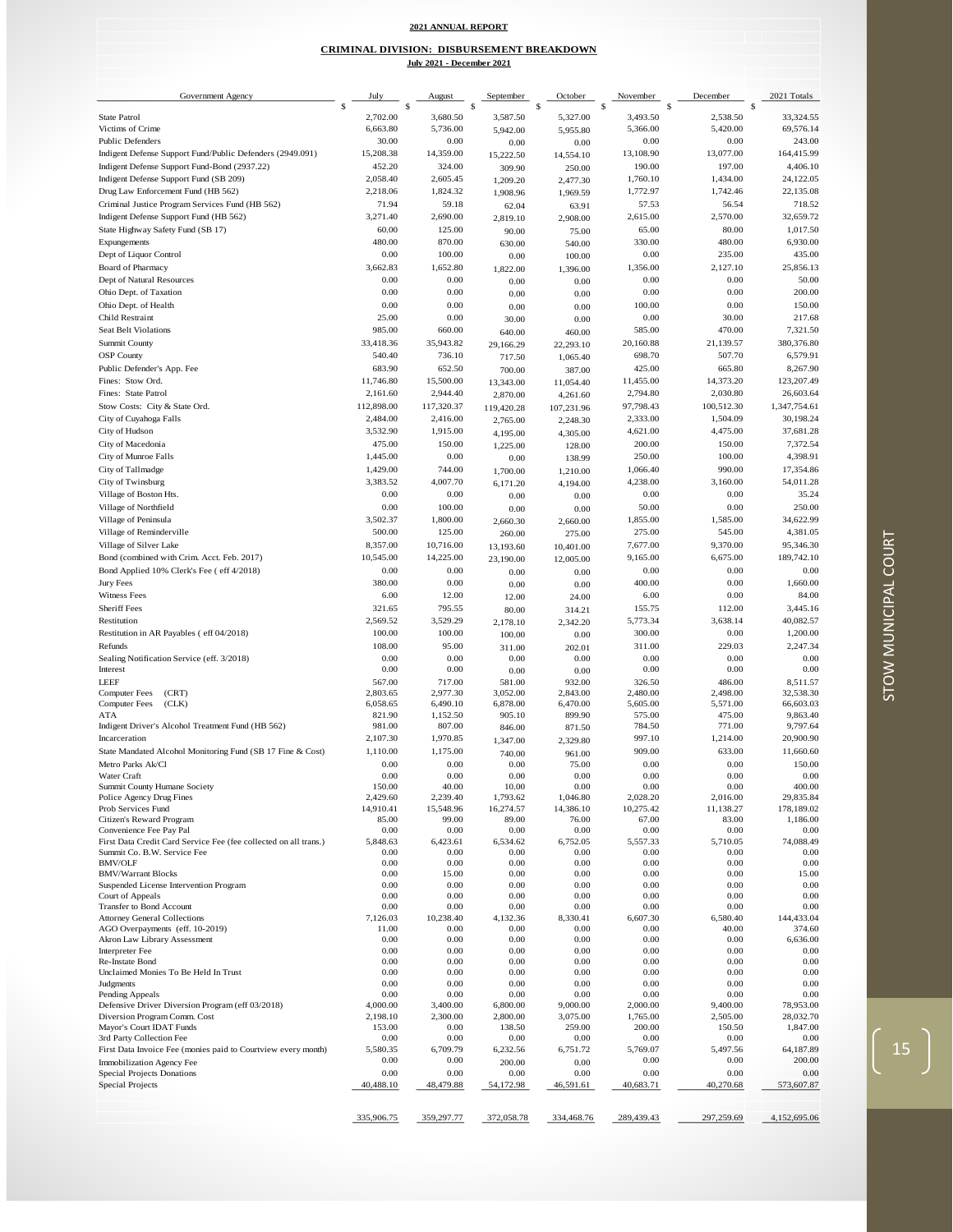#### **2021 ANNUAL REPORT**

#### **July 2021 - December 2021 CRIMINAL DIVISION: DISBURSEMENT BREAKDOWN**

| Government Agency                                                                           | July                 | August              | September           | October               | November             | December            | 2021 Totals            |
|---------------------------------------------------------------------------------------------|----------------------|---------------------|---------------------|-----------------------|----------------------|---------------------|------------------------|
| <b>State Patrol</b>                                                                         | 2,702.00             | S<br>3,680.50       | \$<br>3,587.50      | \$<br>5,327.00        | \$.<br>3,493.50      | \$<br>2,538.50      | 33,324.55              |
| Victims of Crime                                                                            | 6,663.80             | 5,736.00            | 5,942.00            | 5,955.80              | 5,366.00             | 5,420.00            | 69,576.14              |
| Public Defenders                                                                            | 30.00                | 0.00                | 0.00                | 0.00                  | 0.00                 | 0.00                | 243.00                 |
| Indigent Defense Support Fund/Public Defenders (2949.091)                                   | 15,208.38            | 14,359.00           | 15,222.50           | 14,554.10             | 13,108.90            | 13,077.00           | 164,415.99             |
| Indigent Defense Support Fund-Bond (2937.22)<br>Indigent Defense Support Fund (SB 209)      | 452.20<br>2,058.40   | 324.00<br>2,605.45  | 309.90<br>1,209.20  | 250.00                | 190.00<br>1,760.10   | 197.00<br>1,434.00  | 4,406.10<br>24,122.05  |
| Drug Law Enforcement Fund (HB 562)                                                          | 2,218.06             | 1,824.32            | 1,908.96            | 2,477.30<br>1,969.59  | 1,772.97             | 1,742.46            | 22,135.08              |
| Criminal Justice Program Services Fund (HB 562)                                             | 71.94                | 59.18               | 62.04               | 63.91                 | 57.53                | 56.54               | 718.52                 |
| Indigent Defense Support Fund (HB 562)                                                      | 3,271.40             | 2,690.00            | 2,819.10            | 2,908.00              | 2,615.00             | 2,570.00            | 32,659.72              |
| State Highway Safety Fund (SB 17)                                                           | 60.00                | 125.00              | 90.00               | 75.00                 | 65.00                | 80.00               | 1,017.50               |
| Expungements                                                                                | 480.00               | 870.00              | 630.00              | 540.00                | 330.00               | 480.00              | 6,930.00               |
| Dept of Liquor Control                                                                      | 0.00                 | 100.00              | 0.00                | 100.00                | 0.00<br>1,356.00     | 235.00              | 435.00                 |
| Board of Pharmacy<br>Dept of Natural Resources                                              | 3,662.83<br>0.00     | 1,652.80<br>0.00    | 1,822.00            | 1,396.00              | 0.00                 | 2,127.10<br>0.00    | 25,856.13<br>50.00     |
| Ohio Dept. of Taxation                                                                      | 0.00                 | 0.00                | 0.00<br>0.00        | 0.00<br>0.00          | 0.00                 | 0.00                | 200.00                 |
| Ohio Dept. of Health                                                                        | 0.00                 | 0.00                | 0.00                | 0.00                  | 100.00               | 0.00                | 150.00                 |
| Child Restraint                                                                             | 25.00                | 0.00                | 30.00               | 0.00                  | 0.00                 | 30.00               | 217.68                 |
| <b>Seat Belt Violations</b>                                                                 | 985.00               | 660.00              | 640.00              | 460.00                | 585.00               | 470.00              | 7,321.50               |
| Summit County                                                                               | 33,418.36            | 35,943.82           | 29,166.29           | 22,293.10             | 20,160.88            | 21,139.57           | 380,376.80             |
| <b>OSP</b> County                                                                           | 540.40               | 736.10              | 717.50              | 1,065.40              | 698.70               | 507.70              | 6,579.91               |
| Public Defender's App. Fee<br>Fines: Stow Ord.                                              | 683.90<br>11,746.80  | 652.50<br>15,500.00 | 700.00<br>13,343.00 | 387.00                | 425.00<br>11,455.00  | 665.80<br>14,373.20 | 8,267.90<br>123,207.49 |
| Fines: State Patrol                                                                         | 2,161.60             | 2,944.40            | 2,870.00            | 11,054.40<br>4,261.60 | 2,794.80             | 2,030.80            | 26,603.64              |
| Stow Costs: City & State Ord.                                                               | 112,898.00           | 117,320.37          | 119,420.28          | 107,231.96            | 97,798.43            | 100,512.30          | 1,347,754.61           |
| City of Cuyahoga Falls                                                                      | 2,484.00             | 2,416.00            | 2,765.00            | 2,248.30              | 2,333.00             | 1,504.09            | 30,198.24              |
| City of Hudson                                                                              | 3,532.90             | 1,915.00            | 4,195.00            | 4,305.00              | 4,621.00             | 4,475.00            | 37,681.28              |
| City of Macedonia                                                                           | 475.00               | 150.00              | 1,225.00            | 128.00                | 200.00               | 150.00              | 7,372.54               |
| City of Munroe Falls                                                                        | 1,445.00             | 0.00                | 0.00                | 138.99                | 250.00               | 100.00              | 4,398.91               |
| City of Tallmadge<br>City of Twinsburg                                                      | 1,429.00<br>3,383.52 | 744.00<br>4,007.70  | 1,700.00            | 1,210.00              | 1,066.40<br>4,238.00 | 990.00<br>3,160.00  | 17,354.86<br>54,011.28 |
| Village of Boston Hts.                                                                      | 0.00                 | 0.00                | 6,171.20<br>0.00    | 4,194.00<br>0.00      | 0.00                 | 0.00                | 35.24                  |
| Village of Northfield                                                                       | 0.00                 | 100.00              | 0.00                | 0.00                  | 50.00                | 0.00                | 250.00                 |
| Village of Peninsula                                                                        | 3,502.37             | 1,800.00            | 2,660.30            | 2,660.00              | 1,855.00             | 1,585.00            | 34,622.99              |
| Village of Reminderville                                                                    | 500.00               | 125.00              | 260.00              | 275.00                | 275.00               | 545.00              | 4,381.05               |
| Village of Silver Lake                                                                      | 8,357.00             | 10,716.00           | 13,193.60           | 10,401.00             | 7,677.00             | 9,370.00            | 95,346.30              |
| Bond (combined with Crim. Acct. Feb. 2017)                                                  | 10,545.00            | 14,225.00           | 23,190.00           | 12,005.00             | 9,165.00             | 6,675.00            | 189,742.10             |
| Bond Applied 10% Clerk's Fee ( eff 4/2018)<br>Jury Fees                                     | 0.00<br>380.00       | 0.00<br>0.00        | 0.00                | 0.00                  | 0.00<br>400.00       | 0.00<br>0.00        | 0.00<br>1,660.00       |
| Witness Fees                                                                                | 6.00                 | 12.00               | 0.00<br>12.00       | 0.00<br>24.00         | 6.00                 | 0.00                | 84.00                  |
| <b>Sheriff Fees</b>                                                                         | 321.65               | 795.55              | 80.00               | 314.21                | 155.75               | 112.00              | 3,445.16               |
| Restitution                                                                                 | 2,569.52             | 3,529.29            | 2,178.10            | 2,342.20              | 5,773.34             | 3,638.14            | 40,082.57              |
| Restitution in AR Payables (eff 04/2018)                                                    | 100.00               | 100.00              | 100.00              | 0.00                  | 300.00               | 0.00                | 1,200.00               |
| Refunds                                                                                     | 108.00               | 95.00               | 311.00              | 202.01                | 311.00               | 229.03              | 2,247.34               |
| Sealing Notification Service (eff. 3/2018)<br>Interest                                      | 0.00<br>0.00         | 0.00<br>0.00        | 0.00                | 0.00                  | 0.00<br>0.00         | 0.00<br>0.00        | 0.00<br>0.00           |
| <b>LEEF</b>                                                                                 | 567.00               | 717.00              | 0.00<br>581.00      | 0.00<br>932.00        | 326.50               | 486.00              | 8,511.57               |
| Computer Fees<br>(CRT)                                                                      | 2,803.65             | 2,977.30            | 3,052.00            | 2,843.00              | 2,480.00             | 2,498.00            | 32,538.30              |
| <b>Computer Fees</b><br>(CLK)                                                               | 6,058.65             | 6,490.10            | 6,878.00            | 6,470.00              | 5,605.00             | 5,571.00            | 66,603.03              |
| ATA<br>Indigent Driver's Alcohol Treatment Fund (HB 562)                                    | 821.90<br>981.00     | 1,152.50<br>807.00  | 905.10<br>846.00    | 899.90<br>871.50      | 575.00<br>784.50     | 475.00<br>771.00    | 9,863.40<br>9,797.64   |
| Incarceration                                                                               | 2,107.30             | 1,970.85            | 1,347.00            | 2,329.80              | 997.10               | 1,214.00            | 20,900.90              |
| State Mandated Alcohol Monitoring Fund (SB 17 Fine & Cost)                                  | 1,110.00             | 1,175.00            | 740.00              | 961.00                | 909.00               | 633.00              | 11,660.60              |
| Metro Parks Ak/Cl                                                                           | 0.00                 | 0.00                | 0.00                | 75.00                 | 0.00                 | 0.00                | 150.00                 |
| Water Craft                                                                                 | 0.00                 | 0.00                | 0.00                | 0.00                  | 0.00                 | 0.00                | 0.00                   |
| Summit County Humane Society<br>Police Agency Drug Fines                                    | 150.00<br>2,429.60   | 40.00<br>2,239.40   | 10.00<br>1,793.62   | 0.00<br>1,046.80      | 0.00<br>2,028.20     | 0.00<br>2,016.00    | 400.00<br>29,835.84    |
| Prob Services Fund                                                                          | 14,910.41            | 15,548.96           | 16,274.57           | 14,386.10             | 10,275.42            | 11,138.27           | 178,189.02             |
| Citizen's Reward Program                                                                    | 85.00                | 99.00               | 89.00               | 76.00                 | 67.00                | 83.00               | 1,186.00               |
| Convenience Fee Pay Pal<br>First Data Credit Card Service Fee (fee collected on all trans.) | 0.00<br>5,848.63     | 0.00<br>6,423.61    | 0.00<br>6,534.62    | 0.00<br>6,752.05      | 0.00<br>5,557.33     | 0.00<br>5,710.05    | 0.00<br>74,088.49      |
| Summit Co. B.W. Service Fee                                                                 | 0.00                 | 0.00                | 0.00                | 0.00                  | 0.00                 | 0.00                | 0.00                   |
| <b>BMV/OLF</b>                                                                              | 0.00                 | 0.00                | 0.00                | 0.00                  | 0.00                 | 0.00                | 0.00                   |
| <b>BMV/Warrant Blocks</b>                                                                   | 0.00<br>0.00         | 15.00<br>0.00       | 0.00<br>0.00        | 0.00<br>0.00          | 0.00<br>0.00         | 0.00<br>0.00        | 15.00<br>0.00          |
| Suspended License Intervention Program<br>Court of Appeals                                  | 0.00                 | 0.00                | 0.00                | 0.00                  | 0.00                 | 0.00                | 0.00                   |
| Transfer to Bond Account                                                                    | 0.00                 | 0.00                | 0.00                | 0.00                  | 0.00                 | 0.00                | 0.00                   |
| <b>Attorney General Collections</b>                                                         | 7,126.03             | 10,238.40           | 4,132.36            | 8,330.41              | 6,607.30             | 6,580.40            | 144,433.04             |
| AGO Overpayments (eff. 10-2019)<br>Akron Law Library Assessment                             | 11.00<br>0.00        | 0.00<br>0.00        | 0.00<br>0.00        | 0.00<br>0.00          | 0.00<br>0.00         | 40.00<br>0.00       | 374.60<br>6,636.00     |
| Interpreter Fee                                                                             | 0.00                 | 0.00                | 0.00                | 0.00                  | 0.00                 | 0.00                | 0.00                   |
| Re-Instate Bond                                                                             | 0.00                 | 0.00                | 0.00                | 0.00                  | 0.00                 | 0.00                | 0.00                   |
| Unclaimed Monies To Be Held In Trust<br>Judgments                                           | 0.00<br>0.00         | 0.00<br>0.00        | 0.00<br>0.00        | 0.00<br>0.00          | 0.00<br>0.00         | 0.00<br>0.00        | 0.00<br>0.00           |
| Pending Appeals                                                                             | 0.00                 | 0.00                | 0.00                | 0.00                  | 0.00                 | 0.00                | 0.00                   |
| Defensive Driver Diversion Program (eff 03/2018)                                            | 4,000.00             | 3,400.00            | 6,800.00            | 9,000.00              | 2,000.00             | 9,400.00            | 78,953.00              |
| Diversion Program Comm. Cost                                                                | 2,198.10<br>153.00   | 2,300.00<br>0.00    | 2,800.00<br>138.50  | 3,075.00              | 1,765.00<br>200.00   | 2,505.00<br>150.50  | 28,032.70<br>1,847.00  |
| Mayor's Court IDAT Funds<br>3rd Party Collection Fee                                        | 0.00                 | 0.00                | 0.00                | 259.00<br>0.00        | 0.00                 | 0.00                | 0.00                   |
| First Data Invoice Fee (monies paid to Courtview every month)                               | 5,580.35             | 6,709.79            | 6,232.56            | 6,751.72              | 5,769.07             | 5,497.56            | 64,187.89              |
| Immobilization Agency Fee                                                                   | 0.00                 | 0.00                | 200.00              | 0.00                  | 0.00                 | 0.00                | 200.00                 |
| <b>Special Projects Donations</b><br>Special Projects                                       | 0.00<br>40,488.10    | 0.00<br>48,479.88   | 0.00<br>54,172.98   | 0.00<br>46,591.61     | 0.00<br>40,683.71    | 0.00<br>40,270.68   | 0.00<br>573,607.87     |
|                                                                                             |                      |                     |                     |                       |                      |                     |                        |
|                                                                                             |                      |                     |                     |                       |                      |                     |                        |
|                                                                                             | 335,906.75           | 359,297.77          | 372,058.78          | 334,468.76            | 289,439.43           | 297,259.69          | 4,152,695.06           |

 $\left(15\right)$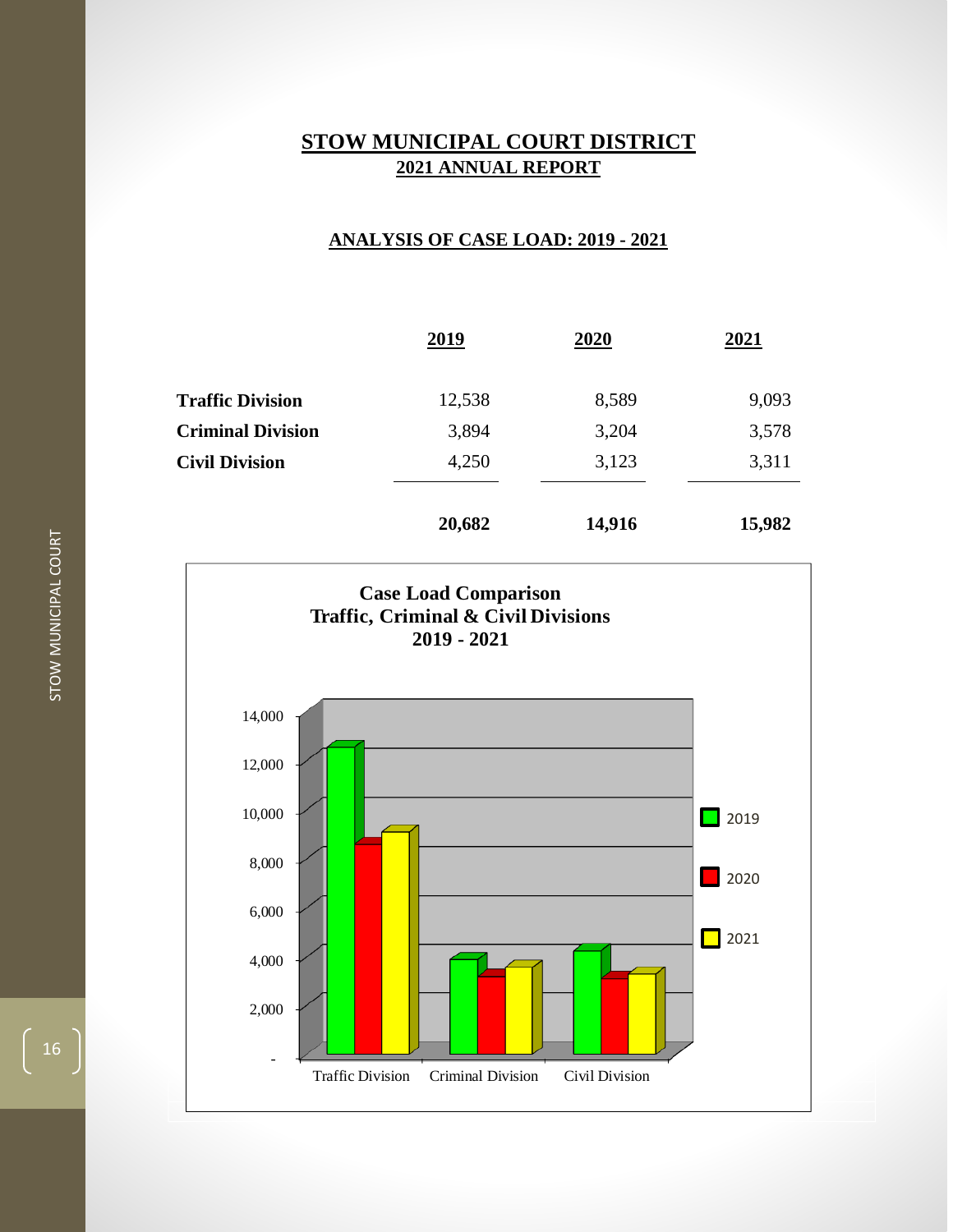## **ANALYSIS OF CASE LOAD: 2019 - 2021**

|                          | 2019   | 2020   | 2021   |
|--------------------------|--------|--------|--------|
| <b>Traffic Division</b>  | 12,538 | 8,589  | 9,093  |
| <b>Criminal Division</b> | 3,894  | 3,204  | 3,578  |
| <b>Civil Division</b>    | 4,250  | 3,123  | 3,311  |
|                          | 20,682 | 14,916 | 15,982 |

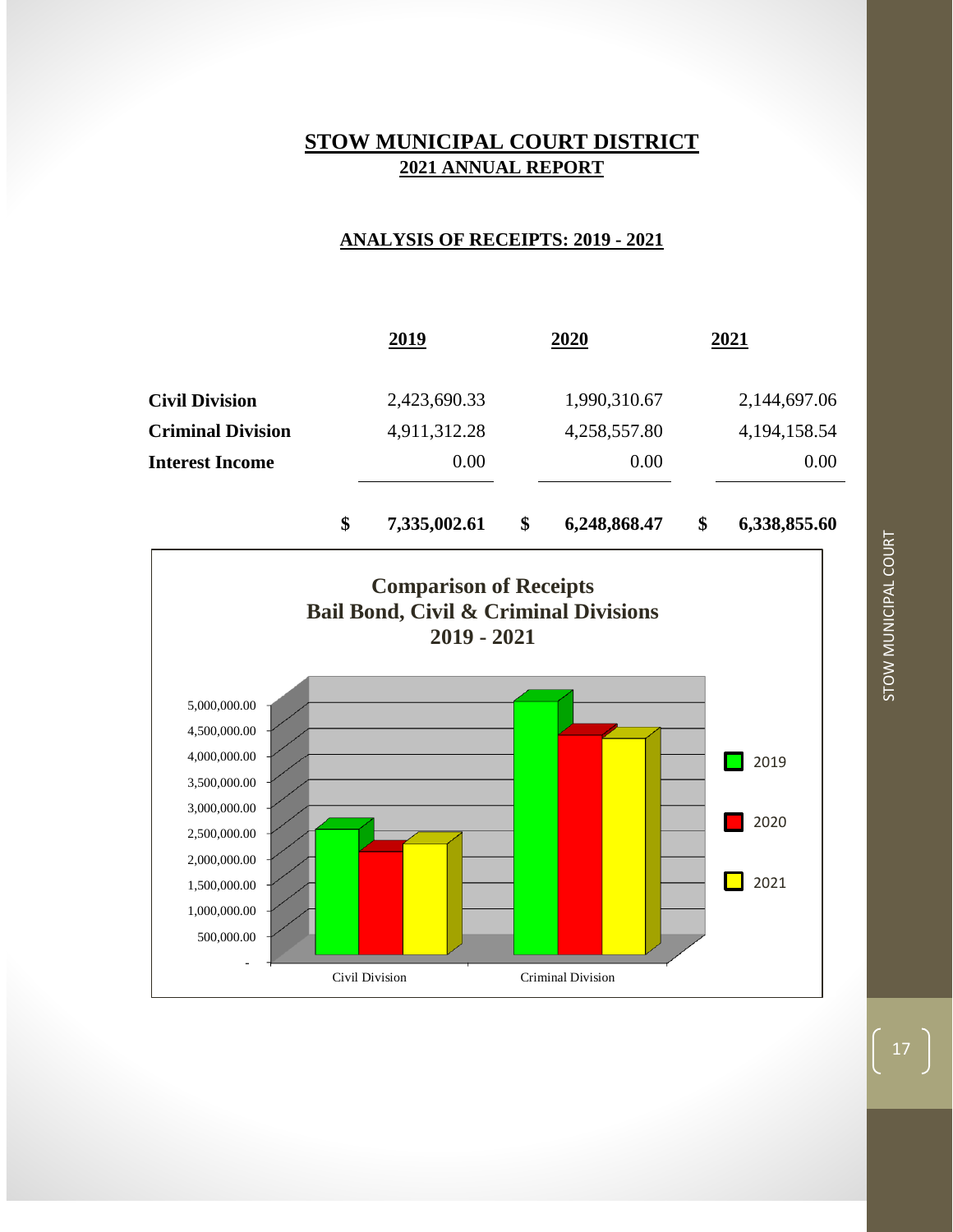## **ANALYSIS OF RECEIPTS: 2019 - 2021**



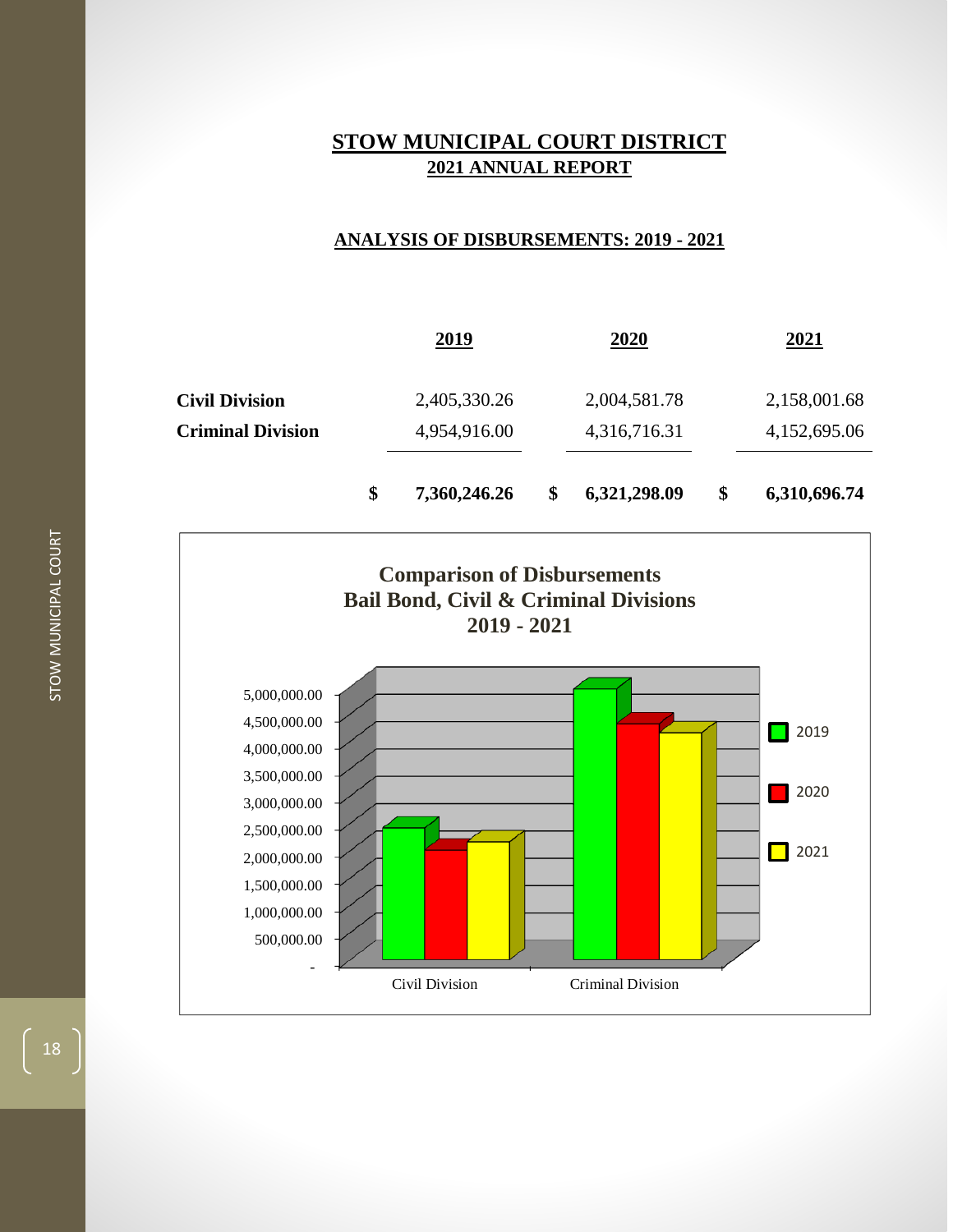## **ANALYSIS OF DISBURSEMENTS: 2019 - 2021**